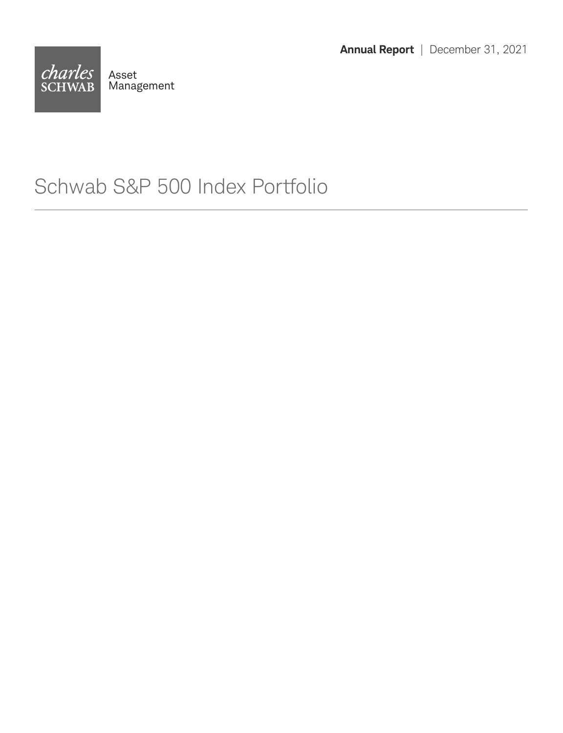**Annual Report** | December 31, 2021



### Schwab S&P 500 Index Portfolio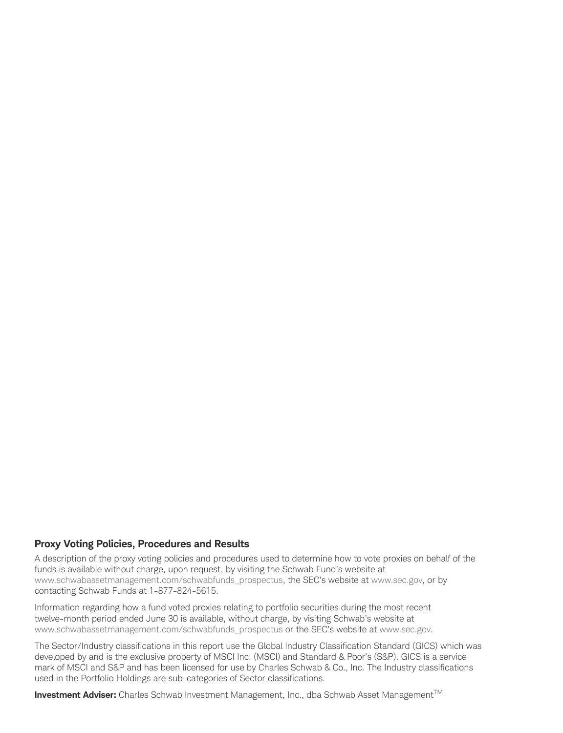#### **Proxy Voting Policies, Procedures and Results**

A description of the proxy voting policies and procedures used to determine how to vote proxies on behalf of the funds is available without charge, upon request, by visiting the Schwab Fund's website at www.schwabassetmanagement.com/schwabfunds\_prospectus, the SEC's website at www.sec.gov, or by contacting Schwab Funds at 1-877-824-5615.

Information regarding how a fund voted proxies relating to portfolio securities during the most recent twelve-month period ended June 30 is available, without charge, by visiting Schwab's website at www.schwabassetmanagement.com/schwabfunds\_prospectus or the SEC's website at www.sec.gov.

The Sector/Industry classifications in this report use the Global Industry Classification Standard (GICS) which was developed by and is the exclusive property of MSCI Inc. (MSCI) and Standard & Poor's (S&P). GICS is a service mark of MSCI and S&P and has been licensed for use by Charles Schwab & Co., Inc. The Industry classifications used in the Portfolio Holdings are sub-categories of Sector classifications.

**Investment Adviser:** Charles Schwab Investment Management, Inc., dba Schwab Asset Management™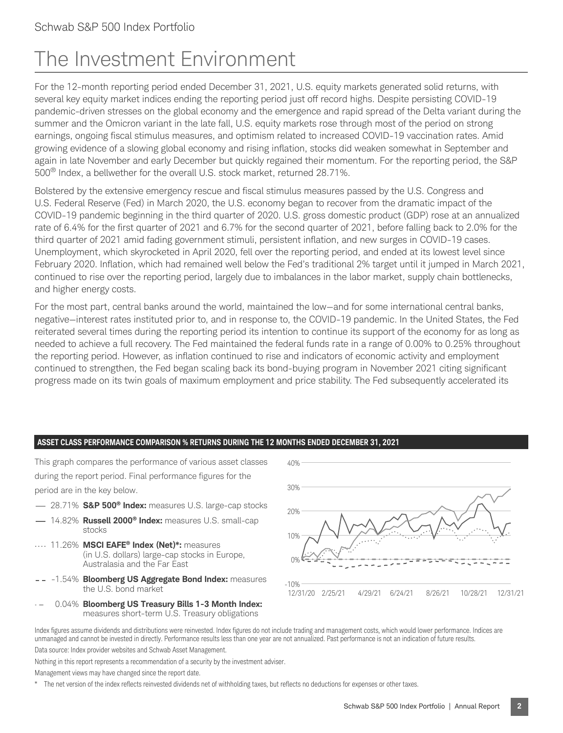## The Investment Environment

For the 12-month reporting period ended December 31, 2021, U.S. equity markets generated solid returns, with several key equity market indices ending the reporting period just off record highs. Despite persisting COVID-19 pandemic-driven stresses on the global economy and the emergence and rapid spread of the Delta variant during the summer and the Omicron variant in the late fall, U.S. equity markets rose through most of the period on strong earnings, ongoing fiscal stimulus measures, and optimism related to increased COVID-19 vaccination rates. Amid growing evidence of a slowing global economy and rising inflation, stocks did weaken somewhat in September and again in late November and early December but quickly regained their momentum. For the reporting period, the S&P 500® Index, a bellwether for the overall U.S. stock market, returned 28.71%.

Bolstered by the extensive emergency rescue and fiscal stimulus measures passed by the U.S. Congress and U.S. Federal Reserve (Fed) in March 2020, the U.S. economy began to recover from the dramatic impact of the COVID-19 pandemic beginning in the third quarter of 2020. U.S. gross domestic product (GDP) rose at an annualized rate of 6.4% for the first quarter of 2021 and 6.7% for the second quarter of 2021, before falling back to 2.0% for the third quarter of 2021 amid fading government stimuli, persistent inflation, and new surges in COVID-19 cases. Unemployment, which skyrocketed in April 2020, fell over the reporting period, and ended at its lowest level since February 2020. Inflation, which had remained well below the Fed's traditional 2% target until it jumped in March 2021, continued to rise over the reporting period, largely due to imbalances in the labor market, supply chain bottlenecks, and higher energy costs.

For the most part, central banks around the world, maintained the low—and for some international central banks, negative—interest rates instituted prior to, and in response to, the COVID-19 pandemic. In the United States, the Fed reiterated several times during the reporting period its intention to continue its support of the economy for as long as needed to achieve a full recovery. The Fed maintained the federal funds rate in a range of 0.00% to 0.25% throughout the reporting period. However, as inflation continued to rise and indicators of economic activity and employment continued to strengthen, the Fed began scaling back its bond-buying program in November 2021 citing significant progress made on its twin goals of maximum employment and price stability. The Fed subsequently accelerated its

#### **ASSET CLASS PERFORMANCE COMPARISON % RETURNS DURING THE 12 MONTHS ENDED DECEMBER 31, 2021**

This graph compares the performance of various asset classes 40% during the report period. Final performance figures for the period are in the key below.

- 28.71% **S&P 500® Index:** measures U.S. large-cap stocks
- 14.82% **Russell 2000® Index:** measures U.S. small-cap stocks
- 11.26% **MSCI EAFE® Index (Net)\*:** measures (in U.S. dollars) large-cap stocks in Europe, Australasia and the Far East
- -1.54% **Bloomberg US Aggregate Bond Index:** measures the U.S. bond market
- 0.04% **Bloomberg US Treasury Bills 1-3 Month Index:** measures short-term U.S. Treasury obligations



Index figures assume dividends and distributions were reinvested. Index figures do not include trading and management costs, which would lower performance. Indices are unmanaged and cannot be invested in directly. Performance results less than one year are not annualized. Past performance is not an indication of future results. Data source: Index provider websites and Schwab Asset Management.

Nothing in this report represents a recommendation of a security by the investment adviser.

Management views may have changed since the report date.

The net version of the index reflects reinvested dividends net of withholding taxes, but reflects no deductions for expenses or other taxes.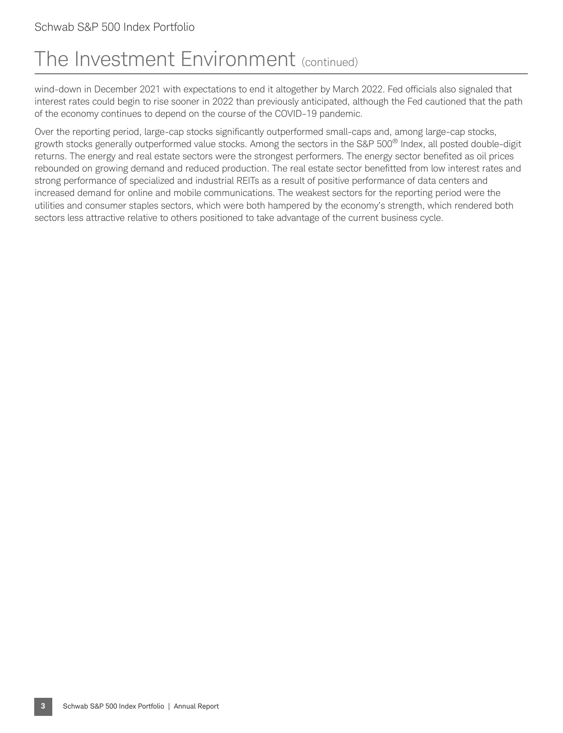## The Investment Environment (continued)

wind-down in December 2021 with expectations to end it altogether by March 2022. Fed officials also signaled that interest rates could begin to rise sooner in 2022 than previously anticipated, although the Fed cautioned that the path of the economy continues to depend on the course of the COVID-19 pandemic.

Over the reporting period, large-cap stocks significantly outperformed small-caps and, among large-cap stocks, growth stocks generally outperformed value stocks. Among the sectors in the S&P 500® Index, all posted double-digit returns. The energy and real estate sectors were the strongest performers. The energy sector benefited as oil prices rebounded on growing demand and reduced production. The real estate sector benefitted from low interest rates and strong performance of specialized and industrial REITs as a result of positive performance of data centers and increased demand for online and mobile communications. The weakest sectors for the reporting period were the utilities and consumer staples sectors, which were both hampered by the economy's strength, which rendered both sectors less attractive relative to others positioned to take advantage of the current business cycle.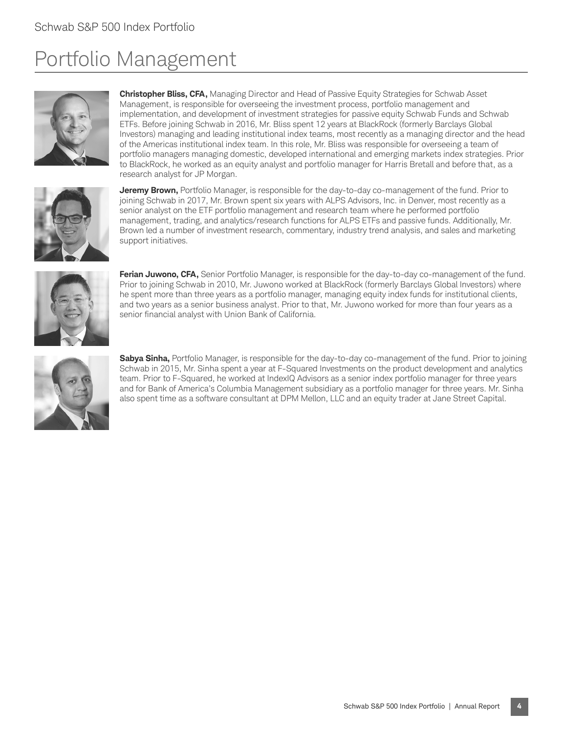## Portfolio Management





**Christopher Bliss, CFA,** Managing Director and Head of Passive Equity Strategies for Schwab Asset Management, is responsible for overseeing the investment process, portfolio management and implementation, and development of investment strategies for passive equity Schwab Funds and Schwab ETFs. Before joining Schwab in 2016, Mr. Bliss spent 12 years at BlackRock (formerly Barclays Global Investors) managing and leading institutional index teams, most recently as a managing director and the head of the Americas institutional index team. In this role, Mr. Bliss was responsible for overseeing a team of portfolio managers managing domestic, developed international and emerging markets index strategies. Prior to BlackRock, he worked as an equity analyst and portfolio manager for Harris Bretall and before that, as a research analyst for JP Morgan.

**Jeremy Brown,** Portfolio Manager, is responsible for the day-to-day co-management of the fund. Prior to joining Schwab in 2017, Mr. Brown spent six years with ALPS Advisors, Inc. in Denver, most recently as a senior analyst on the ETF portfolio management and research team where he performed portfolio management, trading, and analytics/research functions for ALPS ETFs and passive funds. Additionally, Mr. Brown led a number of investment research, commentary, industry trend analysis, and sales and marketing support initiatives.



Ferian Juwono, CFA, Senior Portfolio Manager, is responsible for the day-to-day co-management of the fund. Prior to joining Schwab in 2010, Mr. Juwono worked at BlackRock (formerly Barclays Global Investors) where he spent more than three years as a portfolio manager, managing equity index funds for institutional clients, and two years as a senior business analyst. Prior to that, Mr. Juwono worked for more than four years as a senior financial analyst with Union Bank of California.



**Sabya Sinha,** Portfolio Manager, is responsible for the day-to-day co-management of the fund. Prior to joining Schwab in 2015, Mr. Sinha spent a year at F-Squared Investments on the product development and analytics team. Prior to F-Squared, he worked at IndexIQ Advisors as a senior index portfolio manager for three years and for Bank of America's Columbia Management subsidiary as a portfolio manager for three years. Mr. Sinha also spent time as a software consultant at DPM Mellon, LLC and an equity trader at Jane Street Capital.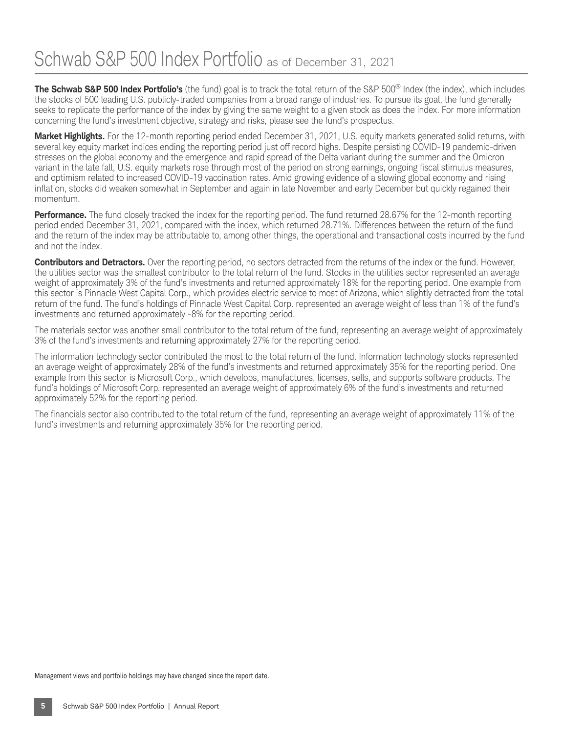**The Schwab S&P 500 Index Portfolio's** (the fund) goal is to track the total return of the S&P 500® Index (the index), which includes the stocks of 500 leading U.S. publicly-traded companies from a broad range of industries. To pursue its goal, the fund generally seeks to replicate the performance of the index by giving the same weight to a given stock as does the index. For more information concerning the fund's investment objective, strategy and risks, please see the fund's prospectus.

**Market Highlights.** For the 12-month reporting period ended December 31, 2021, U.S. equity markets generated solid returns, with several key equity market indices ending the reporting period just off record highs. Despite persisting COVID-19 pandemic-driven stresses on the global economy and the emergence and rapid spread of the Delta variant during the summer and the Omicron variant in the late fall, U.S. equity markets rose through most of the period on strong earnings, ongoing fiscal stimulus measures, and optimism related to increased COVID-19 vaccination rates. Amid growing evidence of a slowing global economy and rising inflation, stocks did weaken somewhat in September and again in late November and early December but quickly regained their momentum.

**Performance.** The fund closely tracked the index for the reporting period. The fund returned 28.67% for the 12-month reporting period ended December 31, 2021, compared with the index, which returned 28.71%. Differences between the return of the fund and the return of the index may be attributable to, among other things, the operational and transactional costs incurred by the fund and not the index.

**Contributors and Detractors.** Over the reporting period, no sectors detracted from the returns of the index or the fund. However, the utilities sector was the smallest contributor to the total return of the fund. Stocks in the utilities sector represented an average weight of approximately 3% of the fund's investments and returned approximately 18% for the reporting period. One example from this sector is Pinnacle West Capital Corp., which provides electric service to most of Arizona, which slightly detracted from the total return of the fund. The fund's holdings of Pinnacle West Capital Corp. represented an average weight of less than 1% of the fund's investments and returned approximately -8% for the reporting period.

The materials sector was another small contributor to the total return of the fund, representing an average weight of approximately 3% of the fund's investments and returning approximately 27% for the reporting period.

The information technology sector contributed the most to the total return of the fund. Information technology stocks represented an average weight of approximately 28% of the fund's investments and returned approximately 35% for the reporting period. One example from this sector is Microsoft Corp., which develops, manufactures, licenses, sells, and supports software products. The fund's holdings of Microsoft Corp. represented an average weight of approximately 6% of the fund's investments and returned approximately 52% for the reporting period.

The financials sector also contributed to the total return of the fund, representing an average weight of approximately 11% of the fund's investments and returning approximately 35% for the reporting period.

Management views and portfolio holdings may have changed since the report date.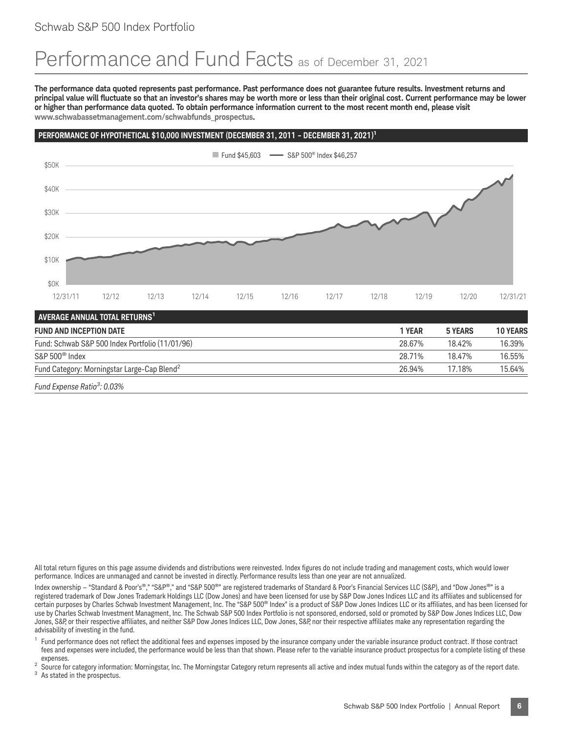### Performance and Fund Facts as of December 31, 2021

**The performance data quoted represents past performance. Past performance does not guarantee future results. Investment returns and principal value will fluctuate so that an investor's shares may be worth more or less than their original cost. Current performance may be lower or higher than performance data quoted. To obtain performance information current to the most recent month end, please visit www.schwabassetmanagement.com/schwabfunds\_prospectus.**

#### PERFORMANCE OF HYPOTHETICAL \$10,000 INVESTMENT (DECEMBER 31, 2011 - DECEMBER 31, 2021)<sup>1</sup>



*Fund Expense Ratio<sup>3</sup> : 0.03%*

All total return figures on this page assume dividends and distributions were reinvested. Index figures do not include trading and management costs, which would lower performance. Indices are unmanaged and cannot be invested in directly. Performance results less than one year are not annualized.

Index ownership - "Standard & Poor's®," "S&P®," and "S&P 500®" are registered trademarks of Standard & Poor's Financial Services LLC (S&P), and "Dow Jones®" is a registered trademark of Dow Jones Trademark Holdings LLC (Dow Jones) and have been licensed for use by S&P Dow Jones Indices LLC and its affiliates and sublicensed for certain purposes by Charles Schwab Investment Management, Inc. The "S&P 500® Index" is a product of S&P Dow Jones Indices LLC or its affiliates, and has been licensed for use by Charles Schwab Investment Managment, Inc. The Schwab S&P 500 Index Portfolio is not sponsored, endorsed, sold or promoted by S&P Dow Jones Indices LLC, Dow Jones, S&P, or their respective affiliates, and neither S&P Dow Jones ILIC, Dow Jones, S&P, nor their respective affiliates make any representation regarding the advisability of investing in the fund.

Fund performance does not reflect the additional fees and expenses imposed by the insurance company under the variable insurance product contract. If those contract fees and expenses were included, the performance would be less than that shown. Please refer to the variable insurance product prospectus for a complete listing of these

expenses.<br><sup>2</sup> Source for category information: Morningstar, Inc. The Morningstar Category return represents all active and index mutual funds within the category as of the report date.<br><sup>3</sup> As stated in the prospectus.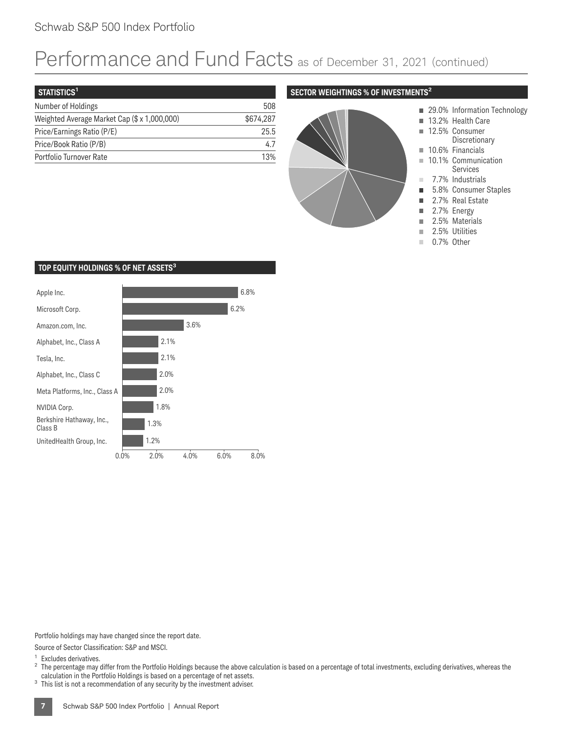### Schwab S&P 500 Index Portfolio

## Performance and Fund Facts as of December 31, 2021 (continued)

| STATISTICS <sup>1</sup>                      |           |
|----------------------------------------------|-----------|
| Number of Holdings                           | 508       |
| Weighted Average Market Cap (\$ x 1,000,000) | \$674.287 |
| Price/Earnings Ratio (P/E)                   | 25.5      |
| Price/Book Ratio (P/B)                       | 47        |
| Portfolio Turnover Rate                      | 13%       |

#### **SECTOR WEIGHTINGS % OF INVESTMENTS<sup>2</sup>**



- 29.0% Information Technology
- 13.2% Health Care
- 12.5% Consumer
	- Discretionary
- 10.1% Communication
- Services
- 7.7% Industrials
- 5.8% Consumer Staples
- 2.7% Real Estate
- 2.7% Energy
- 2.5% Materials
- 
- 0.7% Other

#### **TOP EQUITY HOLDINGS % OF NET ASSETS3**



Portfolio holdings may have changed since the report date.

Source of Sector Classification: S&P and MSCI.

<sup>1</sup> Excludes derivatives.<br><sup>2</sup> The percentage may differ from the Portfolio Holdings because the above calculation is based on a percentage of total investments, excluding derivatives, whereas the calculation in the Portfo

 $3$  This list is not a recommendation of any security by the investment adviser.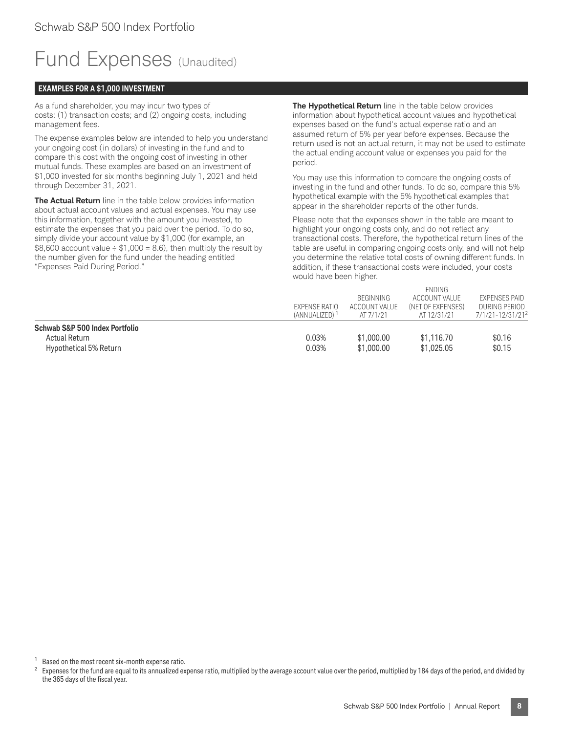## Fund Expenses (Unaudited)

#### **EXAMPLES FOR A \$1,000 INVESTMENT**

As a fund shareholder, you may incur two types of costs: (1) transaction costs; and (2) ongoing costs, including management fees.

The expense examples below are intended to help you understand your ongoing cost (in dollars) of investing in the fund and to compare this cost with the ongoing cost of investing in other mutual funds. These examples are based on an investment of \$1,000 invested for six months beginning July 1, 2021 and held through December 31, 2021.

**The Actual Return** line in the table below provides information about actual account values and actual expenses. You may use this information, together with the amount you invested, to estimate the expenses that you paid over the period. To do so, simply divide your account value by \$1,000 (for example, an  $$8,600$  account value  $\div$  \$1,000 = 8.6), then multiply the result by the number given for the fund under the heading entitled "Expenses Paid During Period."

**The Hypothetical Return** line in the table below provides information about hypothetical account values and hypothetical expenses based on the fund's actual expense ratio and an assumed return of 5% per year before expenses. Because the return used is not an actual return, it may not be used to estimate the actual ending account value or expenses you paid for the period.

You may use this information to compare the ongoing costs of investing in the fund and other funds. To do so, compare this 5% hypothetical example with the 5% hypothetical examples that appear in the shareholder reports of the other funds.

Please note that the expenses shown in the table are meant to highlight your ongoing costs only, and do not reflect any transactional costs. Therefore, the hypothetical return lines of the table are useful in comparing ongoing costs only, and will not help you determine the relative total costs of owning different funds. In addition, if these transactional costs were included, your costs would have been higher.

ENDING

|                                | EXPENSE RATIO             | <b>BEGINNING</b><br>ACCOUNT VALUE | <b>LINDIING</b><br>ACCOUNT VALUE<br>(NET OF EXPENSES) | <b>EXPENSES PAID</b><br>DURING PERIOD |
|--------------------------------|---------------------------|-----------------------------------|-------------------------------------------------------|---------------------------------------|
|                                | (ANNUALIZED) <sup>1</sup> | AT 7/1/21                         | AT 12/31/21                                           | 7/1/21-12/31/21 <sup>2</sup>          |
| Schwab S&P 500 Index Portfolio |                           |                                   |                                                       |                                       |
| Actual Return                  | 0.03%                     | \$1,000.00                        | \$1,116.70                                            | \$0.16                                |
| Hypothetical 5% Return         | 0.03%                     | \$1,000.00                        | \$1,025.05                                            | \$0.15                                |

<sup>1</sup> Based on the most recent six-month expense ratio.

<sup>2</sup> Expenses for the fund are equal to its annualized expense ratio, multiplied by the average account value over the period, multiplied by 184 days of the period, and divided by the 365 days of the fiscal year.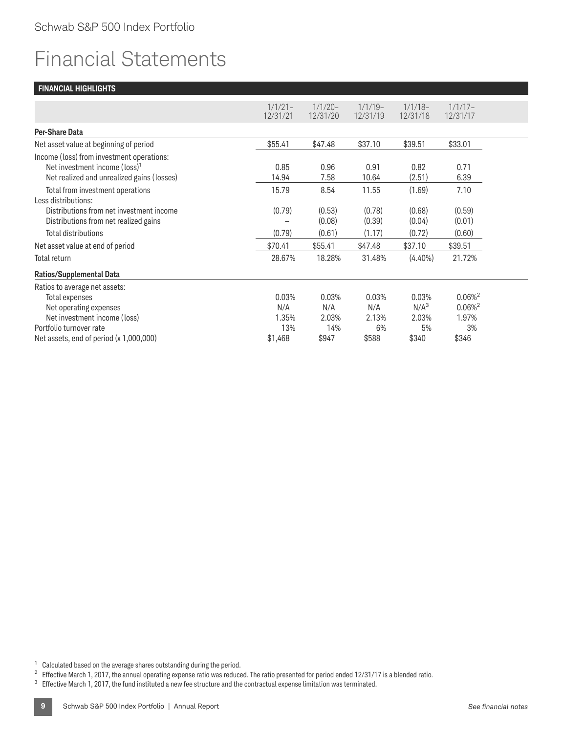## Financial Statements

|                                            | $1/1/21-$<br>12/31/21 | $1/1/20 -$<br>12/31/20 | $1/1/19-$<br>12/31/19 | $1/1/18-$<br>12/31/18 | $1/1/17-$<br>12/31/17 |
|--------------------------------------------|-----------------------|------------------------|-----------------------|-----------------------|-----------------------|
|                                            |                       |                        |                       |                       |                       |
| <b>Per-Share Data</b>                      |                       |                        |                       |                       |                       |
| Net asset value at beginning of period     | \$55.41               | \$47.48                | \$37.10               | \$39.51               | \$33.01               |
| Income (loss) from investment operations:  |                       |                        |                       |                       |                       |
| Net investment income (loss) <sup>1</sup>  | 0.85                  | 0.96                   | 0.91                  | 0.82                  | 0.71                  |
| Net realized and unrealized gains (losses) | 14.94                 | 7.58                   | 10.64                 | (2.51)                | 6.39                  |
| Total from investment operations           | 15.79                 | 8.54                   | 11.55                 | (1.69)                | 7.10                  |
| Less distributions:                        |                       |                        |                       |                       |                       |
| Distributions from net investment income   | (0.79)                | (0.53)                 | (0.78)                | (0.68)                | (0.59)                |
| Distributions from net realized gains      |                       | (0.08)                 | (0.39)                | (0.04)                | (0.01)                |
| Total distributions                        | (0.79)                | (0.61)                 | (1.17)                | (0.72)                | (0.60)                |
| Net asset value at end of period           | \$70.41               | \$55.41                | \$47.48               | \$37.10               | \$39.51               |
| Total return                               | 28.67%                | 18.28%                 | 31.48%                | $(4.40\%)$            | 21.72%                |
| <b>Ratios/Supplemental Data</b>            |                       |                        |                       |                       |                       |
| Ratios to average net assets:              |                       |                        |                       |                       |                       |
| Total expenses                             | 0.03%                 | 0.03%                  | 0.03%                 | 0.03%                 | $0.06\%$ <sup>2</sup> |
| Net operating expenses                     | N/A                   | N/A                    | N/A                   | N/A <sup>3</sup>      | $0.06\%$ <sup>2</sup> |
| Net investment income (loss)               | 1.35%                 | 2.03%                  | 2.13%                 | 2.03%                 | 1.97%                 |
| Portfolio turnover rate                    | 13%                   | 14%                    | 6%                    | 5%                    | 3%                    |
| Net assets, end of period $(x 1,000,000)$  | \$1,468               | \$947                  | \$588                 | \$340                 | \$346                 |
|                                            |                       |                        |                       |                       |                       |

 $1$  Calculated based on the average shares outstanding during the period.

<sup>2</sup> Effective March 1, 2017, the annual operating expense ratio was reduced. The ratio presented for period ended 12/31/17 is a blended ratio.

<sup>3</sup> Effective March 1, 2017, the fund instituted a new fee structure and the contractual expense limitation was terminated.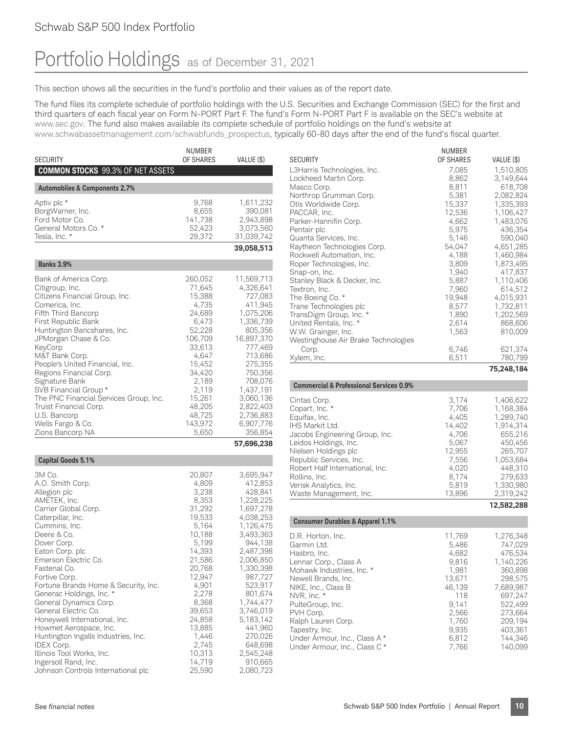### Schwab S&P 500 Index Portfolio

### Portfolio Holdings as of December 31, 2021

This section shows all the securities in the fund's portfolio and their values as of the report date.

The fund files its complete schedule of portfolio holdings with the U.S. Securities and Exchange Commission (SEC) for the first and third quarters of each fiscal year on Form N-PORT Part F. The fund's Form N-PORT Part F is available on the SEC's website at www.sec.gov. The fund also makes available its complete schedule of portfolio holdings on the fund's website at www.schwabassetmanagement.com/schwabfunds\_prospectus, typically 60-80 days after the end of the fund's fiscal quarter.

|                                                                                                                                                                                                                                                                                                                                                                                                                                                                                                                                                                            | NUMBER                                                                                                                                                                                                                             |                                                                                                                                                                                                                                                                                                  |
|----------------------------------------------------------------------------------------------------------------------------------------------------------------------------------------------------------------------------------------------------------------------------------------------------------------------------------------------------------------------------------------------------------------------------------------------------------------------------------------------------------------------------------------------------------------------------|------------------------------------------------------------------------------------------------------------------------------------------------------------------------------------------------------------------------------------|--------------------------------------------------------------------------------------------------------------------------------------------------------------------------------------------------------------------------------------------------------------------------------------------------|
| <b>SECURITY</b><br><b>COMMON STOCKS</b> 99.3% OF NET ASSETS                                                                                                                                                                                                                                                                                                                                                                                                                                                                                                                | OF SHARES                                                                                                                                                                                                                          | VALUE (\$)                                                                                                                                                                                                                                                                                       |
|                                                                                                                                                                                                                                                                                                                                                                                                                                                                                                                                                                            |                                                                                                                                                                                                                                    |                                                                                                                                                                                                                                                                                                  |
| <b>Automobiles &amp; Components 2.7%</b>                                                                                                                                                                                                                                                                                                                                                                                                                                                                                                                                   |                                                                                                                                                                                                                                    |                                                                                                                                                                                                                                                                                                  |
| Aptiv plc *<br>BorgWarner, Inc.<br>Ford Motor Co.<br>General Motors Co. *<br>Tesla, Inc. *                                                                                                                                                                                                                                                                                                                                                                                                                                                                                 | 9,768<br>8,655<br>141,738<br>52,423<br>29,372                                                                                                                                                                                      | 1,611,232<br>390,081<br>2,943,898<br>3,073,560<br>31,039,742                                                                                                                                                                                                                                     |
|                                                                                                                                                                                                                                                                                                                                                                                                                                                                                                                                                                            |                                                                                                                                                                                                                                    | 39,058,513                                                                                                                                                                                                                                                                                       |
| <b>Banks 3.9%</b>                                                                                                                                                                                                                                                                                                                                                                                                                                                                                                                                                          |                                                                                                                                                                                                                                    |                                                                                                                                                                                                                                                                                                  |
| Bank of America Corp.<br>Citigroup, Inc.<br>Citizens Financial Group, Inc.<br>Comerica, Inc.<br>Fifth Third Bancorp<br>First Republic Bank<br>Huntington Bancshares, Inc.<br>JPMorgan Chase & Co.<br>KeyCorp<br>M&T Bank Corp.<br>People's United Financial, Inc.<br>Regions Financial Corp.<br>Signature Bank<br>SVB Financial Group*<br>The PNC Financial Services Group, Inc.<br>Truist Financial Corp.<br>U.S. Bancorp<br>Wells Fargo & Co.<br>Zions Bancorp NA                                                                                                        | 260,052<br>71,645<br>15,388<br>4,735<br>24,689<br>6,473<br>52,228<br>106,709<br>33,613<br>4,647<br>15,452<br>34,420<br>2,189<br>2,119<br>15,261<br>48,205<br>48,725<br>143,972<br>5,650                                            | 11,569,713<br>4,326,641<br>727,083<br>411,945<br>1,075,206<br>1,336,739<br>805,356<br>16,897,370<br>777,469<br>713,686<br>275,355<br>750,356<br>708,076<br>1,437,191<br>3,060,136<br>2,822,403<br>2,736,883<br>6,907,776<br>356,854                                                              |
|                                                                                                                                                                                                                                                                                                                                                                                                                                                                                                                                                                            |                                                                                                                                                                                                                                    | 57,696,238                                                                                                                                                                                                                                                                                       |
| <b>Capital Goods 5.1%</b>                                                                                                                                                                                                                                                                                                                                                                                                                                                                                                                                                  |                                                                                                                                                                                                                                    |                                                                                                                                                                                                                                                                                                  |
| 3M Co.<br>A.O. Smith Corp.<br>Allegion plc<br>AMETEK, Inc.<br>Carrier Global Corp.<br>Caterpillar, Inc.<br>Cummins, Inc.<br>Deere & Co.<br>Dover Corp.<br>Eaton Corp. plc<br>Emerson Electric Co.<br>Fastenal Co.<br>Fortive Corp.<br>Fortune Brands Home & Security, Inc.<br>Generac Holdings, Inc. *<br>General Dynamics Corp.<br>General Electric Co.<br>Honeywell International, Inc.<br>Howmet Aerospace, Inc.<br>Huntington Ingalls Industries, Inc.<br><b>IDEX Corp.</b><br>Illinois Tool Works, Inc.<br>Ingersoll Rand, Inc.<br>Johnson Controls International plc | 20,807<br>4,809<br>3,238<br>8,353<br>31,292<br>19,533<br>5,164<br>10,188<br>5,199<br>14,393<br>21,586<br>20,768<br>12,947<br>4,901<br>2,278<br>8,368<br>39,653<br>24,858<br>13,885<br>1,446<br>2,745<br>10,313<br>14,719<br>25,590 | 3,695,947<br>412,853<br>428,841<br>1,228,225<br>1,697,278<br>4,038,253<br>1,126,475<br>3,493,363<br>944,138<br>2,487,398<br>2,006,850<br>1,330,398<br>987,727<br>523,917<br>801,674<br>1,744,477<br>3,746,019<br>5,183,142<br>441,960<br>270,026<br>648,698<br>2,545,248<br>910,665<br>2,080,723 |

|                                     | <b>NUMBER</b> |            |
|-------------------------------------|---------------|------------|
| <b>SECURITY</b>                     | OF SHARES     | VALUE (\$) |
| L3Harris Technologies, Inc.         | 7,085         | 1,510,805  |
| Lockheed Martin Corp.               | 8,862         | 3,149,644  |
| Masco Corp.                         | 8,811         | 618,708    |
| Northrop Grumman Corp.              | 5,381         | 2,082,824  |
| Otis Worldwide Corp.                | 15,337        | 1,335,393  |
| PACCAR, Inc.                        | 12,536        | 1,106,427  |
| Parker-Hannifin Corp.               | 4,662         | 1,483,076  |
| Pentair plc                         | 5,975         | 436,354    |
| Quanta Services, Inc.               | 5,146         | 590,040    |
| Raytheon Technologies Corp.         | 54,047        | 4,651,285  |
| Rockwell Automation, Inc.           | 4,188         | 1,460,984  |
| Roper Technologies, Inc.            | 3,809         | 1,873,495  |
| Snap-on, Inc.                       | 1,940         | 417,837    |
| Stanley Black & Decker, Inc.        | 5,887         | 1,110,406  |
| Textron, Inc.                       | 7,960         | 614,512    |
| The Boeing Co. *                    | 19,948        | 4,015,931  |
| Trane Technologies plc              | 8,577         | 1,732,811  |
| TransDigm Group, Inc. *             | 1,890         | 1,202,569  |
| United Rentals, Inc. *              | 2,614         | 868,606    |
| W.W. Grainger, Inc.                 | 1,563         | 810,009    |
| Westinghouse Air Brake Technologies |               |            |
| Corp.                               | 6,746         | 621,374    |
| Xylem, Inc.                         | 6,511         | 780,799    |
|                                     |               | 75.248.184 |

**Commercial & Professional Services 0.9%**

|                                 |        | 1258228   |
|---------------------------------|--------|-----------|
| Waste Management, Inc.          | 13.896 | 2.319.242 |
| Verisk Analytics, Inc.          | 5.819  | 1,330,980 |
| Rollins, Inc.                   | 8,174  | 279,633   |
| Robert Half International, Inc. | 4.020  | 448.310   |
| Republic Services, Inc.         | 7.556  | 1.053.684 |
| Nielsen Holdings plc            | 12.955 | 265.707   |
| Leidos Holdings, Inc.           | 5.067  | 450.456   |
| Jacobs Engineering Group, Inc.  | 4.706  | 655,216   |
| IHS Markit Ltd.                 | 14,402 | 1.914.314 |
| Equifax, Inc.                   | 4.405  | 1,289,740 |
| Copart, Inc. *                  | 7,706  | 1,168,384 |
| Cintas Corp.                    | 3.174  | 1,406,622 |
|                                 |        |           |

|                                                                                                                                                                                                                                                                                                                |                                                                                                                             | 14,004,400                                                                                                                                                   |
|----------------------------------------------------------------------------------------------------------------------------------------------------------------------------------------------------------------------------------------------------------------------------------------------------------------|-----------------------------------------------------------------------------------------------------------------------------|--------------------------------------------------------------------------------------------------------------------------------------------------------------|
| <b>Consumer Durables &amp; Apparel 1.1%</b>                                                                                                                                                                                                                                                                    |                                                                                                                             |                                                                                                                                                              |
| D.R. Horton, Inc.<br>Garmin Ltd.<br>Hasbro, Inc.<br>Lennar Corp., Class A<br>Mohawk Industries, Inc. *<br>Newell Brands, Inc.<br>NIKE, Inc., Class B<br>NVR, Inc. *<br>PulteGroup, Inc.<br>PVH Corp.<br>Ralph Lauren Corp.<br>Tapestry, Inc.<br>Under Armour, Inc., Class A *<br>Under Armour, Inc., Class C * | 11,769<br>5.486<br>4,682<br>9.816<br>1.981<br>13.671<br>46.139<br>118<br>9.141<br>2.566<br>1.760<br>9,935<br>6,812<br>7.766 | 1.276.348<br>747.029<br>476.534<br>1.140.226<br>360.898<br>298.575<br>7,689,987<br>697.247<br>522.499<br>273.664<br>209.194<br>403.361<br>144.346<br>140,099 |
|                                                                                                                                                                                                                                                                                                                |                                                                                                                             |                                                                                                                                                              |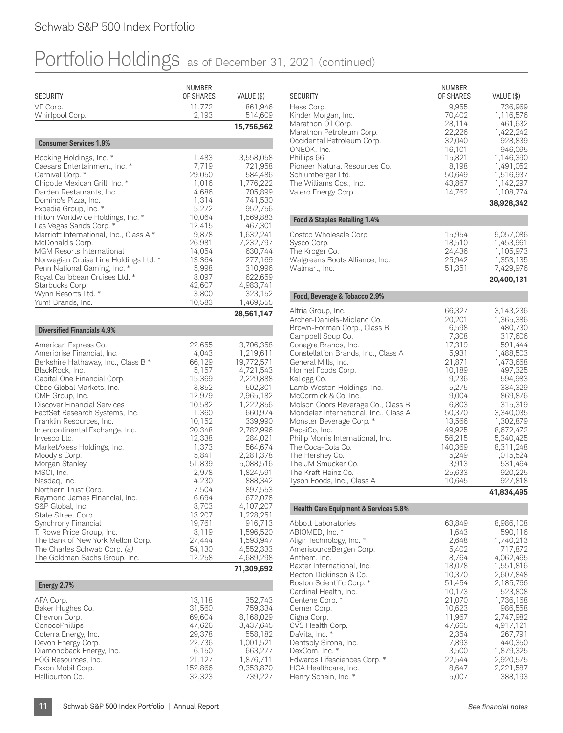| <b>SECURITY</b>                                                                                                                                                                                                                                                                                                                                                                                                                                                                                                                                                                                                                                                                                         | <b>NUMBER</b><br>OF SHARES                                                                                                                                                                                                                           | VALUE (\$)                                                                                                                                                                                                                                                                                                                                  |
|---------------------------------------------------------------------------------------------------------------------------------------------------------------------------------------------------------------------------------------------------------------------------------------------------------------------------------------------------------------------------------------------------------------------------------------------------------------------------------------------------------------------------------------------------------------------------------------------------------------------------------------------------------------------------------------------------------|------------------------------------------------------------------------------------------------------------------------------------------------------------------------------------------------------------------------------------------------------|---------------------------------------------------------------------------------------------------------------------------------------------------------------------------------------------------------------------------------------------------------------------------------------------------------------------------------------------|
| VF Corp.<br>Whirlpool Corp.                                                                                                                                                                                                                                                                                                                                                                                                                                                                                                                                                                                                                                                                             | 11,772<br>2,193                                                                                                                                                                                                                                      | 861,946<br>514,609                                                                                                                                                                                                                                                                                                                          |
|                                                                                                                                                                                                                                                                                                                                                                                                                                                                                                                                                                                                                                                                                                         |                                                                                                                                                                                                                                                      | 15,756,562                                                                                                                                                                                                                                                                                                                                  |
| <b>Consumer Services 1.9%</b>                                                                                                                                                                                                                                                                                                                                                                                                                                                                                                                                                                                                                                                                           |                                                                                                                                                                                                                                                      |                                                                                                                                                                                                                                                                                                                                             |
| Booking Holdings, Inc. *<br>Caesars Entertainment, Inc. *<br>Carnival Corp. *<br>Chipotle Mexican Grill, Inc. *<br>Darden Restaurants, Inc.<br>Domino's Pizza, Inc.<br>Expedia Group, Inc. *<br>Hilton Worldwide Holdings, Inc. *<br>Las Vegas Sands Corp. *<br>Marriott International, Inc., Class A *<br>McDonald's Corp.<br>MGM Resorts International<br>Norwegian Cruise Line Holdings Ltd. *<br>Penn National Gaming, Inc. *<br>Royal Caribbean Cruises Ltd. *<br>Starbucks Corp.<br>Wynn Resorts Ltd. *<br>Yum! Brands, Inc.                                                                                                                                                                      | 1,483<br>7,719<br>29,050<br>1,016<br>4,686<br>1,314<br>5,272<br>10,064<br>12,415<br>9,878<br>26,981<br>14,054<br>13,364<br>5,998<br>8,097<br>42,607<br>3,800<br>10,583                                                                               | 3,558,058<br>721,958<br>584,486<br>1,776,222<br>705,899<br>741,530<br>952,756<br>1,569,883<br>467,301<br>1,632,241<br>7,232,797<br>630,744<br>277,169<br>310,996<br>622,659<br>4,983,741<br>323,152<br>1,469,555                                                                                                                            |
|                                                                                                                                                                                                                                                                                                                                                                                                                                                                                                                                                                                                                                                                                                         |                                                                                                                                                                                                                                                      | 28,561,147                                                                                                                                                                                                                                                                                                                                  |
| <b>Diversified Financials 4.9%</b>                                                                                                                                                                                                                                                                                                                                                                                                                                                                                                                                                                                                                                                                      |                                                                                                                                                                                                                                                      |                                                                                                                                                                                                                                                                                                                                             |
| American Express Co.<br>Ameriprise Financial, Inc.<br>Berkshire Hathaway, Inc., Class B *<br>BlackRock, Inc.<br>Capital One Financial Corp.<br>Cboe Global Markets, Inc.<br>CME Group, Inc.<br>Discover Financial Services<br>FactSet Research Systems, Inc.<br>Franklin Resources, Inc.<br>Intercontinental Exchange, Inc.<br>Invesco Ltd.<br>MarketAxess Holdings, Inc.<br>Moody's Corp.<br>Morgan Stanley<br>MSCI, Inc.<br>Nasdaq, Inc.<br>Northern Trust Corp.<br>Raymond James Financial, Inc.<br>S&P Global, Inc.<br>State Street Corp.<br>Synchrony Financial<br>T. Rowe Price Group, Inc.<br>The Bank of New York Mellon Corp.<br>The Charles Schwab Corp. (a)<br>The Goldman Sachs Group, Inc. | 22,655<br>4,043<br>66,129<br>5,157<br>15,369<br>3,852<br>12,979<br>10,582<br>1,360<br>10,152<br>20,348<br>12,338<br>1,373<br>5,841<br>51,839<br>2,978<br>4,230<br>7,504<br>6,694<br>8,703<br>13,207<br>19,761<br>8,119<br>27,444<br>54,130<br>12,258 | 3,706,358<br>1,219,611<br>19,772,571<br>4,721,543<br>2,229,888<br>502,301<br>2,965,182<br>1,222,856<br>660,974<br>339,990<br>2,782,996<br>284,021<br>564,674<br>2,281,378<br>5,088,516<br>1,824,591<br>888,342<br>897,553<br>672,078<br>4,107,207<br>1,228,251<br>916,713<br>1,596,520<br>1,593,947<br>4,552,333<br>4,689,298<br>71,309,692 |
| Energy 2.7%                                                                                                                                                                                                                                                                                                                                                                                                                                                                                                                                                                                                                                                                                             |                                                                                                                                                                                                                                                      |                                                                                                                                                                                                                                                                                                                                             |
| APA Corp.<br>Baker Hughes Co.<br>Chevron Corp.<br>ConocoPhillips<br>Coterra Energy, Inc.<br>Devon Energy Corp.<br>Diamondback Energy, Inc.<br>EOG Resources, Inc.<br>Exxon Mobil Corp.<br>Halliburton Co.                                                                                                                                                                                                                                                                                                                                                                                                                                                                                               | 13,118<br>31,560<br>69,604<br>47,626<br>29,378<br>22,736<br>6,150<br>21,127<br>152,866<br>32,323                                                                                                                                                     | 352,743<br>759,334<br>8,168,029<br>3,437,645<br>558,182<br>1,001,521<br>663,277<br>1,876,711<br>9,353,870<br>739,227                                                                                                                                                                                                                        |

| <b>SECURITY</b><br>Hess Corp.<br>Kinder Morgan, Inc.<br>Marathon Oil Corp.<br>Marathon Petroleum Corp.<br>Occidental Petroleum Corp.<br>ONEOK, Inc.<br>Phillips 66<br>Pioneer Natural Resources Co.<br>Schlumberger Ltd.<br>The Williams Cos., Inc.<br>Valero Energy Corp.                                                                                                                                                                                                                                                                                                | NUMBER<br>OF SHARES<br>9,955<br>70,402<br>28,114<br>22,226<br>32,040<br>16,101<br>15,821<br>8,198<br>50,649<br>43,867<br>14,762                                                                        | VALUE (\$)<br>736,969<br>1,116,576<br>461,632<br>1,422,242<br>928,839<br>946,095<br>1,146,390<br>1,491,052<br>1,516,937<br>1,142,297<br>1,108,774<br>38,928,342                                                                                                       |
|---------------------------------------------------------------------------------------------------------------------------------------------------------------------------------------------------------------------------------------------------------------------------------------------------------------------------------------------------------------------------------------------------------------------------------------------------------------------------------------------------------------------------------------------------------------------------|--------------------------------------------------------------------------------------------------------------------------------------------------------------------------------------------------------|-----------------------------------------------------------------------------------------------------------------------------------------------------------------------------------------------------------------------------------------------------------------------|
| Food & Staples Retailing 1.4%                                                                                                                                                                                                                                                                                                                                                                                                                                                                                                                                             |                                                                                                                                                                                                        |                                                                                                                                                                                                                                                                       |
| Costco Wholesale Corp.<br>Sysco Corp.<br>The Kroger Co.<br>Walgreens Boots Alliance, Inc.<br>Walmart, Inc.                                                                                                                                                                                                                                                                                                                                                                                                                                                                | 15,954<br>18,510<br>24,436<br>25,942<br>51,351                                                                                                                                                         | 9,057,086<br>1,453,961<br>1,105,973<br>1,353,135<br>7,429,976<br>20,400,131                                                                                                                                                                                           |
| Food, Beverage & Tobacco 2.9%                                                                                                                                                                                                                                                                                                                                                                                                                                                                                                                                             |                                                                                                                                                                                                        |                                                                                                                                                                                                                                                                       |
| Altria Group, Inc.<br>Archer-Daniels-Midland Co.<br>Brown-Forman Corp., Class B<br>Campbell Soup Co.<br>Conagra Brands, Inc.<br>Constellation Brands, Inc., Class A<br>General Mills, Inc.<br>Hormel Foods Corp.<br>Kellogg Co.<br>Lamb Weston Holdings, Inc.<br>McCormick & Co, Inc.<br>Molson Coors Beverage Co., Class B<br>Mondelez International, Inc., Class A<br>Monster Beverage Corp. *<br>PepsiCo, Inc.<br>Philip Morris International, Inc.<br>The Coca-Cola Co.<br>The Hershey Co.<br>The JM Smucker Co.<br>The Kraft Heinz Co.<br>Tyson Foods, Inc., Class A | 66,327<br>20,201<br>6,598<br>7,308<br>17,319<br>5,931<br>21,871<br>10,189<br>9,236<br>5,275<br>9,004<br>6,803<br>50,370<br>13,566<br>49,925<br>56,215<br>140,369<br>5,249<br>3,913<br>25,633<br>10,645 | 3,143,236<br>1,365,386<br>480,730<br>317,606<br>591,444<br>1,488,503<br>1,473,668<br>497,325<br>594,983<br>334,329<br>869,876<br>315,319<br>3,340,035<br>1,302,879<br>8,672,472<br>5,340,425<br>8,311,248<br>1,015,524<br>531,464<br>920,225<br>927,818<br>41,834,495 |
| <b>Health Care Equipment &amp; Services 5.8%</b>                                                                                                                                                                                                                                                                                                                                                                                                                                                                                                                          |                                                                                                                                                                                                        |                                                                                                                                                                                                                                                                       |
| Abbott Laboratories<br>ABIOMED, Inc. *<br>Align Technology, Inc. *<br>AmerisourceBergen Corp.<br>Anthem, Inc.<br>Baxter International, Inc.<br>Becton Dickinson & Co.<br>Boston Scientific Corp. *<br>Cardinal Health, Inc.<br>Centene Corp. *<br>Cerner Corp.<br>Cigna Corp.<br>CVS Health Corp.<br>DaVita, Inc. *<br>Dentsply Sirona, Inc.<br>DexCom, Inc. *<br>Edwards Lifesciences Corp. *<br>HCA Healthcare, Inc.                                                                                                                                                    | 63,849<br>1,643<br>2,648<br>5,402<br>8,764<br>18,078<br>10,370<br>51,454<br>10,173<br>21,070<br>10,623<br>11,967<br>47,665<br>2,354<br>7,893<br>3,500<br>22,544<br>8,647                               | 8,986,108<br>590,116<br>1,740,213<br>717,872<br>4,062,465<br>1,551,816<br>2,607,848<br>2,185,766<br>523,808<br>1,736,168<br>986,558<br>2,747,982<br>4,917,121<br>267,791<br>440,350<br>1,879,325<br>2,920,575<br>2,221,587                                            |

Henry Schein, Inc. \* 5,007 388,193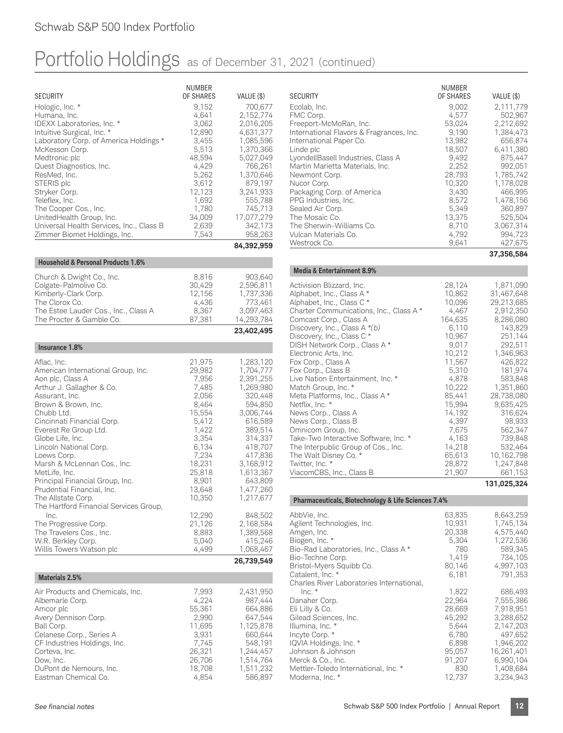**NUMBER** 

| <b>SECURITY</b>                                              | <b>IVUIVIDLN</b><br>OF SHARES | VALUE (\$)               |
|--------------------------------------------------------------|-------------------------------|--------------------------|
| Hologic, Inc. *<br>Humana, Inc.                              | 9,152<br>4,641                | 700,677<br>2,152,774     |
| IDEXX Laboratories, Inc. *                                   | 3,062                         | 2,016,205                |
| Intuitive Surgical, Inc. *                                   | 12,890                        | 4,631,377                |
| Laboratory Corp. of America Holdings *<br>McKesson Corp.     | 3,455<br>5,513                | 1,085,596<br>1,370,366   |
| Medtronic plc                                                | 48,594                        | 5,027,049                |
| Quest Diagnostics, Inc.                                      | 4,429                         | 766,261                  |
| ResMed, Inc.<br>STERIS plc                                   | 5,262<br>3,612                | 1,370,646<br>879,197     |
| Stryker Corp.                                                | 12,123                        | 3,241,933                |
| Teleflex, Inc.                                               | 1,692                         | 555,788                  |
| The Cooper Cos., Inc.<br>UnitedHealth Group, Inc.            | 1,780<br>34,009               | 745,713<br>17,077,279    |
| Universal Health Services, Inc., Class B                     | 2,639                         | 342,173                  |
| Zimmer Biomet Holdings, Inc.                                 | 7,543                         | 958,263                  |
|                                                              |                               | 84,392,959               |
| <b>Household &amp; Personal Products 1.6%</b>                |                               |                          |
| Church & Dwight Co., Inc.                                    | 8,816                         | 903,640                  |
| Colgate-Palmolive Co.<br>Kimberly-Clark Corp.                | 30,429<br>12,156              | 2,596,811<br>1,737,336   |
| The Clorox Co.                                               | 4,436                         | 773,461                  |
| The Estee Lauder Cos., Inc., Class A                         | 8,367                         | 3,097,463                |
| The Procter & Gamble Co.                                     | 87,381                        | 14,293,784<br>23,402,495 |
|                                                              |                               |                          |
| Insurance 1.8%                                               |                               |                          |
| Aflac, Inc.<br>American International Group, Inc.            | 21,975<br>29,982              | 1,283,120<br>1,704,777   |
| Aon plc, Class A                                             | 7,956                         | 2,391,255                |
| Arthur J. Gallagher & Co.                                    | 7,485                         | 1,269,980                |
| Assurant, Inc.<br>Brown & Brown, Inc.                        | 2,056<br>8,464                | 320,448<br>594,850       |
| Chubb Ltd.                                                   | 15,554                        | 3,006,744                |
| Cincinnati Financial Corp.                                   | 5,412                         | 616,589                  |
| Everest Re Group Ltd.<br>Globe Life, Inc.                    | 1,422<br>3,354                | 389,514<br>314,337       |
| Lincoln National Corp.                                       | 6,134                         | 418,707                  |
| Loews Corp.                                                  | 7,234                         | 417,836                  |
| Marsh & McLennan Cos., Inc.<br>MetLife, Inc.                 | 18,231<br>25,818              | 3,168,912<br>1,613,367   |
| Principal Financial Group, Inc.                              | 8,901                         | 643,809                  |
| Prudential Financial, Inc.                                   | 13,648<br>10,350              | 1,477,260                |
| The Allstate Corp.<br>The Hartford Financial Services Group, |                               | 1,217,677                |
| Inc.                                                         | 12,290                        | 848,502                  |
| The Progressive Corp.                                        | 21,126                        | 2,168,584<br>1,389,568   |
| The Travelers Cos., Inc.<br>W.R. Berkley Corp.               | 8,883<br>5,040                | 415,246                  |
| Willis Towers Watson plc                                     | 4,499                         | 1,068,467                |
|                                                              |                               | 26,739,549               |
| <b>Materials 2.5%</b>                                        |                               |                          |
| Air Products and Chemicals, Inc.                             | 7,993                         | 2,431,950                |
| Albemarle Corp.<br>Amcor plc                                 | 4,224<br>55,361               | 987,444<br>664,886       |
| Avery Dennison Corp.                                         | 2,990                         | 647,544                  |
| Ball Corp.                                                   | 11,695                        | 1,125,878                |
| Celanese Corp., Series A<br>CF Industries Holdings, Inc.     | 3,931<br>7,745                | 660,644<br>548,191       |
| Corteva, Inc.                                                | 26,321                        | 1,244,457                |
| Dow, Inc.                                                    | 26,706                        | 1,514,764                |
| DuPont de Nemours, Inc.<br>Eastman Chemical Co.              | 18,708<br>4,854               | 1,511,232<br>586,897     |

| <b>SECURITY</b><br>Ecolab, Inc.<br>FMC Corp.<br>Freeport-McMoRan, Inc.<br>International Flavors & Fragrances, Inc.<br>International Paper Co.<br>Linde plc<br>LyondellBasell Industries, Class A<br>Martin Marietta Materials, Inc.<br>Newmont Corp.<br>Nucor Corp.<br>Packaging Corp. of America<br>PPG Industries, Inc.<br>Sealed Air Corp.<br>The Mosaic Co. | <b>NUMBER</b><br>OF SHARES<br>9,002<br>4.577<br>53,024<br>9.190<br>13,982<br>18,507<br>9,492<br>2.252<br>28.793<br>10,320<br>3,430<br>8,572<br>5,349<br>13,375 | VALUE (\$)<br>2,111,779<br>502.967<br>2,212,692<br>1.384.473<br>656.874<br>6.411.380<br>875.447<br>992.051<br>1,785,742<br>1.178.028<br>466,995<br>1.478.156<br>360.897<br>525.504 |
|-----------------------------------------------------------------------------------------------------------------------------------------------------------------------------------------------------------------------------------------------------------------------------------------------------------------------------------------------------------------|----------------------------------------------------------------------------------------------------------------------------------------------------------------|------------------------------------------------------------------------------------------------------------------------------------------------------------------------------------|
| The Sherwin-Williams Co.<br>Vulcan Materials Co.<br>Westrock Co.                                                                                                                                                                                                                                                                                                | 8,710<br>4,792<br>9,641                                                                                                                                        | 3,067,314<br>994,723<br>427,675                                                                                                                                                    |
|                                                                                                                                                                                                                                                                                                                                                                 |                                                                                                                                                                | 37,356,584                                                                                                                                                                         |

| <b>Media &amp; Entertainment 8.9%</b>   |         |             |
|-----------------------------------------|---------|-------------|
| Activision Blizzard, Inc.               | 28,124  | 1,871,090   |
| Alphabet, Inc., Class A*                | 10,862  | 31,467,648  |
| Alphabet, Inc., Class C *               | 10,096  | 29,213,685  |
| Charter Communications, Inc., Class A * | 4,467   | 2,912,350   |
| Comcast Corp., Class A                  | 164,635 | 8,286,080   |
| Discovery, Inc., Class $A*(b)$          | 6,110   | 143,829     |
| Discovery, Inc., Class C*               | 10,967  | 251,144     |
| DISH Network Corp., Class A*            | 9,017   | 292,511     |
| Electronic Arts, Inc.                   | 10,212  | 1,346,963   |
| Fox Corp., Class A                      | 11,567  | 426,822     |
| Fox Corp., Class B                      | 5,310   | 181,974     |
| Live Nation Entertainment, Inc. *       | 4,878   | 583,848     |
| Match Group, Inc. *                     | 10,222  | 1,351,860   |
| Meta Platforms, Inc., Class A*          | 85,441  | 28,738,080  |
| Netflix, Inc. *                         | 15,994  | 9,635,425   |
| News Corp., Class A                     | 14,192  | 316,624     |
| News Corp., Class B                     | 4,397   | 98,933      |
| Omnicom Group, Inc.                     | 7,675   | 562,347     |
| Take-Two Interactive Software, Inc. *   | 4,163   | 739,848     |
| The Interpublic Group of Cos., Inc.     | 14,218  | 532,464     |
| The Walt Disney Co. *                   | 65,613  | 10,162,798  |
| Twitter, Inc. *                         | 28,872  | 1,247,848   |
| ViacomCBS, Inc., Class B                | 21,907  | 661,153     |
|                                         |         |             |
|                                         |         | 131,025,324 |

**Pharmaceuticals, Biotechnology & Life Sciences 7.4%** AbbVie, Inc. 63,835 8,643,259<br>Agilent Technologies, Inc. 63,835 8,643,259 Agilent Technologies, Inc. 10,931 1,745,134<br>Amgen, Inc. 20,338 4,575,440 Amgen, Inc. 20,338 4,575,440<br>Biogen, Inc. \* 20,338 4,575,440 Biogen, Inc. \* 6,304 1,272,536<br>Bio-Rad Laboratories, Inc., Class A \* 780 589,345 Bio-Rad Laboratories, Inc., Class A \* 780 589,345<br>Bio-Techne Corp. 1,419 734,105 Bio-Techne Corp. 1,419 734,105 Bristol-Myers Squibb Co. 80,146 4,997,103<br>Catalent, Inc. \* 6,181 791,353 Catalent, Inc. \* Charles River Laboratories International, 1,822 686,493<br>22,964 7,555,386 Danaher Corp. 22,964 7,555,386 Eli Lilly & Co. Gilead Sciences, Inc. 45,292 3,288,652<br>Illumina, Inc. \* 6,644 2,147,203 Illumina, Inc. \* 5,644 2,147,203<br>Incyte Corp. \* 6,780 497,652 Incyte Corp. \* 6,780 497,652<br>IQVIA Holdings, Inc. \* 6,898 1,946,202 IQVIA Holdings, Inc. \* 6,898 1,946,202 Johnson & Johnson 95,057 16,261,401 Merck & Co., Inc. 91,207 6,990,104<br>Mettler-Toledo International, Inc. \* 830 1,408,684 Mettler-Toledo International, Inc. \* 830 1,408,684<br>Moderna, Inc. \* 830 1,408,684<br>12,737 3,234,943 Moderna, Inc. \*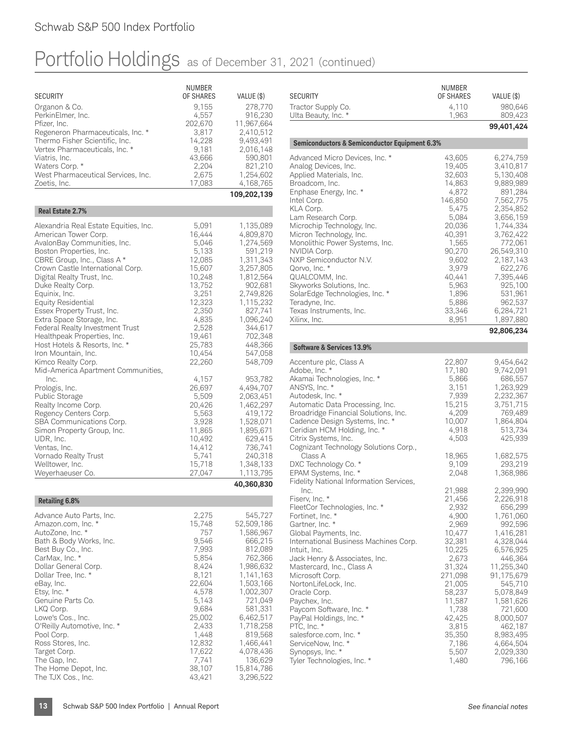|                                                               | NUMBER           |                        |
|---------------------------------------------------------------|------------------|------------------------|
| <b>SECURITY</b>                                               | OF SHARES        | VALUE (\$)             |
| Organon & Co.<br>PerkinElmer, Inc.                            | 9,155<br>4,557   | 278,770<br>916,230     |
| Pfizer, Inc.                                                  | 202,670          | 11,967,664             |
| Regeneron Pharmaceuticals, Inc. *                             | 3,817            | 2,410,512              |
| Thermo Fisher Scientific, Inc.                                | 14,228           | 9,493,491              |
| Vertex Pharmaceuticals, Inc. *                                | 9,181            | 2,016,148              |
| Viatris, Inc.                                                 | 43,666           | 590,801                |
| Waters Corp. *<br>West Pharmaceutical Services, Inc.          | 2,204<br>2,675   | 821,210<br>1,254,602   |
| Zoetis, Inc.                                                  | 17,083           | 4,168,765              |
|                                                               |                  | 109,202,139            |
| Real Estate 2.7%                                              |                  |                        |
|                                                               |                  |                        |
| Alexandria Real Estate Equities, Inc.<br>American Tower Corp. | 5,091<br>16,444  | 1,135,089<br>4,809,870 |
| AvalonBay Communities, Inc.                                   | 5,046            | 1,274,569              |
| Boston Properties, Inc.                                       | 5,133            | 591,219                |
| CBRE Group, Inc., Class A *                                   | 12,085           | 1,311,343              |
| Crown Castle International Corp.                              | 15,607           | 3,257,805              |
| Digital Realty Trust, Inc.                                    | 10,248           | 1,812,564              |
| Duke Realty Corp.                                             | 13,752           | 902,681                |
| Equinix, Inc.<br><b>Equity Residential</b>                    | 3,251<br>12,323  | 2,749,826<br>1,115,232 |
| Essex Property Trust, Inc.                                    | 2,350            | 827,741                |
| Extra Space Storage, Inc.                                     | 4,835            | 1,096,240              |
| Federal Realty Investment Trust                               | 2,528            | 344,617                |
| Healthpeak Properties, Inc.                                   | 19,461           | 702,348                |
| Host Hotels & Resorts, Inc. *                                 | 25,783           | 448,366                |
| Iron Mountain, Inc.                                           | 10,454           | 547,058                |
| Kimco Realty Corp.                                            | 22,260           | 548,709                |
| Mid-America Apartment Communities,<br>Inc.                    | 4,157            | 953,782                |
| Prologis, Inc.                                                | 26,697           | 4,494,707              |
| Public Storage                                                | 5,509            | 2,063,451              |
| Realty Income Corp.                                           | 20,426           | 1,462,297              |
| Regency Centers Corp.                                         | 5,563            | 419,172                |
| SBA Communications Corp.                                      | 3,928            | 1,528,071              |
| Simon Property Group, Inc.                                    | 11,865           | 1,895,671              |
| UDR, Inc.<br>Ventas, Inc.                                     | 10,492<br>14,412 | 629,415<br>736,741     |
| Vornado Realty Trust                                          | 5,741            | 240,318                |
| Welltower, Inc.                                               | 15,718           | 1,348,133              |
| Weyerhaeuser Co.                                              | 27,047           | 1,113,795              |
|                                                               |                  | 40,360,830             |
| <b>Retailing 6.8%</b>                                         |                  |                        |
| Advance Auto Parts, Inc.                                      | 2,275            | 545,727                |
| Amazon.com, Inc. *                                            | 15,748           | 52,509,186             |
| AutoZone, Inc. *                                              | 757              | 1,586,967              |
| Bath & Body Works, Inc.                                       | 9,546            | 666,215                |
| Best Buy Co., Inc.<br>CarMax, Inc. *                          | 7,993<br>5,854   | 812,089<br>762,366     |
| Dollar General Corp.                                          | 8,424            | 1,986,632              |
| Dollar Tree, Inc. *                                           | 8,121            | 1,141,163              |
| eBay, Inc.                                                    | 22,604           | 1,503,166              |
| Etsy, Inc. *                                                  | 4,578            | 1,002,307              |
| Genuine Parts Co.                                             | 5,143            | 721,049                |
| LKQ Corp.                                                     | 9,684<br>25,002  | 581,331<br>6,462,517   |
| Lowe's Cos., Inc.<br>O'Reilly Automotive, Inc. *              | 2,433            | 1,718,258              |
| Pool Corp.                                                    | 1,448            | 819,568                |
| Ross Stores, Inc.                                             | 12,832           | 1,466,441              |
| Target Corp.                                                  | 17,622           | 4,078,436              |
| The Gap, Inc.                                                 | 7,741            | 136,629                |
| The Home Depot, Inc.                                          | 38,107           | 15,814,786             |
| The TJX Cos., Inc.                                            | 43,421           | 3,296,522              |

| <b>SECURITY</b>                                                                                                                                                                                                                                                                                                                                                                                                                                                                                                                                                      | <b>NUMBER</b><br>OF SHARES                                                                                                                                                                                      | VALUE (\$)                                                                                                                                                                                                                                                                     |
|----------------------------------------------------------------------------------------------------------------------------------------------------------------------------------------------------------------------------------------------------------------------------------------------------------------------------------------------------------------------------------------------------------------------------------------------------------------------------------------------------------------------------------------------------------------------|-----------------------------------------------------------------------------------------------------------------------------------------------------------------------------------------------------------------|--------------------------------------------------------------------------------------------------------------------------------------------------------------------------------------------------------------------------------------------------------------------------------|
| Tractor Supply Co.                                                                                                                                                                                                                                                                                                                                                                                                                                                                                                                                                   | 4,110                                                                                                                                                                                                           | 980,646                                                                                                                                                                                                                                                                        |
| Ulta Beauty, Inc. *                                                                                                                                                                                                                                                                                                                                                                                                                                                                                                                                                  | 1,963                                                                                                                                                                                                           | 809,423                                                                                                                                                                                                                                                                        |
|                                                                                                                                                                                                                                                                                                                                                                                                                                                                                                                                                                      |                                                                                                                                                                                                                 | 99,401,424                                                                                                                                                                                                                                                                     |
| <b>Semiconductors &amp; Semiconductor Equipment 6.3%</b>                                                                                                                                                                                                                                                                                                                                                                                                                                                                                                             |                                                                                                                                                                                                                 |                                                                                                                                                                                                                                                                                |
| Advanced Micro Devices, Inc. *<br>Analog Devices, Inc.<br>Applied Materials, Inc.<br>Broadcom, Inc.<br>Enphase Energy, Inc. *<br>Intel Corp.<br>KLA Corp.<br>Lam Research Corp.<br>Microchip Technology, Inc.<br>Micron Technology, Inc.<br>Monolithic Power Systems, Inc.<br>NVIDIA Corp.<br>NXP Semiconductor N.V.<br>Qorvo, Inc. *                                                                                                                                                                                                                                | 43,605<br>19,405<br>32,603<br>14,863<br>4,872<br>146,850<br>5,475<br>5,084<br>20,036<br>40,391<br>1,565<br>90,270<br>9,602<br>3,979                                                                             | 6,274,759<br>3,410,817<br>5,130,408<br>9,889,989<br>891,284<br>7,562,775<br>2,354,852<br>3,656,159<br>1,744,334<br>3,762,422<br>772,061<br>26,549,310<br>2,187,143<br>622,276                                                                                                  |
| QUALCOMM, Inc.<br>Skyworks Solutions, Inc.<br>SolarEdge Technologies, Inc. *<br>Teradyne, Inc.<br>Texas Instruments, Inc.<br>Xilinx, Inc.                                                                                                                                                                                                                                                                                                                                                                                                                            | 40,441<br>5,963<br>1,896<br>5,886<br>33,346<br>8,951                                                                                                                                                            | 7,395,446<br>925,100<br>531,961<br>962,537<br>6,284,721<br>1,897,880<br>92,806,234                                                                                                                                                                                             |
| Software & Services 13.9%                                                                                                                                                                                                                                                                                                                                                                                                                                                                                                                                            |                                                                                                                                                                                                                 |                                                                                                                                                                                                                                                                                |
| Accenture plc, Class A<br>Adobe, Inc. *<br>Akamai Technologies, Inc. *<br>ANSYS, Inc. *<br>Autodesk, Inc. *<br>Automatic Data Processing, Inc.<br>Broadridge Financial Solutions, Inc.<br>Cadence Design Systems, Inc. *<br>Ceridian HCM Holding, Inc. *<br>Citrix Systems, Inc.<br>Cognizant Technology Solutions Corp.,<br>Class A<br>DXC Technology Co. *                                                                                                                                                                                                         | 22,807<br>17,180<br>5,866<br>3,151<br>7,939<br>15,215<br>4,209<br>10,007<br>4,918<br>4,503<br>18,965<br>9,109                                                                                                   | 9,454,642<br>9,742,091<br>686,557<br>1,263,929<br>2,232,367<br>3,751,715<br>769,489<br>1,864,804<br>513,734<br>425,939<br>1,682,575<br>293,219                                                                                                                                 |
| EPAM Systems, Inc. *<br>Fidelity National Information Services,<br>Inc.<br>Fiserv, Inc. *<br>FleetCor Technologies, Inc. *<br>Fortinet, Inc. *<br>Gartner, Inc. *<br>Global Payments, Inc.<br>International Business Machines Corp.<br>Intuit, Inc.<br>Jack Henry & Associates, Inc.<br>Mastercard, Inc., Class A<br>Microsoft Corp.<br>NortonLifeLock, Inc.<br>Oracle Corp.<br>Paychex, Inc.<br>Paycom Software, Inc. *<br>PayPal Holdings, Inc. *<br>PTC, Inc. *<br>salesforce.com, Inc. *<br>ServiceNow, Inc. *<br>Synopsys, Inc. *<br>Tyler Technologies, Inc. * | 2,048<br>21,988<br>21,456<br>2,932<br>4,900<br>2,969<br>10,477<br>32,381<br>10,225<br>2,673<br>31,324<br>271,098<br>21,005<br>58,237<br>11,587<br>1,738<br>42,425<br>3,815<br>35,350<br>7,186<br>5,507<br>1,480 | 1,368,986<br>2,399,990<br>2,226,918<br>656,299<br>1,761,060<br>992,596<br>1,416,281<br>4,328,044<br>6,576,925<br>446,364<br>11,255,340<br>91,175,679<br>545,710<br>5,078,849<br>1,581,626<br>721,600<br>8,000,507<br>462,187<br>8,983,495<br>4,664,504<br>2,029,330<br>796,166 |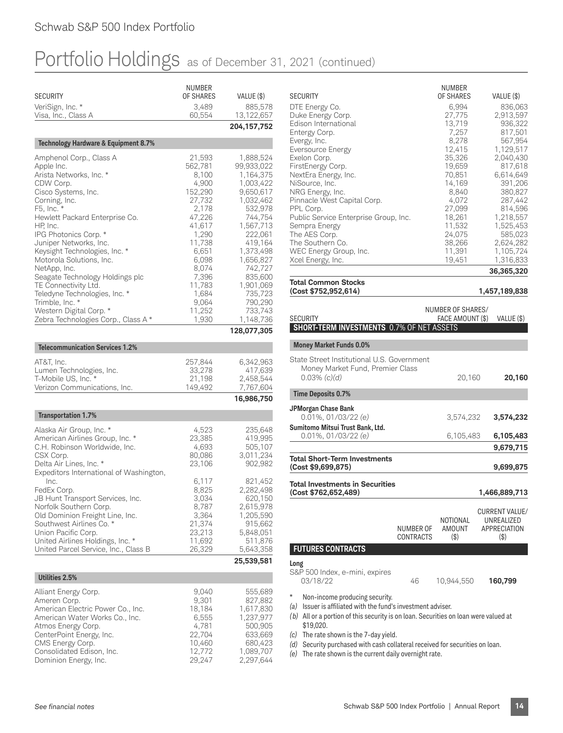| <b>SECURITY</b>                                                          | <b>NUMBER</b><br>OF SHARES | VALUE (\$)              |
|--------------------------------------------------------------------------|----------------------------|-------------------------|
| VeriSign, Inc. *<br>Visa, Inc., Class A                                  | 3,489<br>60,554            | 885,578<br>13,122,657   |
|                                                                          |                            | 204, 157, 752           |
| Technology Hardware & Equipment 8.7%                                     |                            |                         |
| Amphenol Corp., Class A                                                  | 21,593                     | 1,888,524               |
| Apple Inc.<br>Arista Networks, Inc. *                                    | 562,781<br>8,100           | 99,933,022<br>1,164,375 |
| CDW Corp.                                                                | 4,900                      | 1,003,422               |
| Cisco Systems, Inc.<br>Corning, Inc.                                     | 152,290<br>27,732          | 9,650,617<br>1,032,462  |
| F5, Inc. *<br>Hewlett Packard Enterprise Co.                             | 2,178<br>47,226            | 532,978<br>744,754      |
| HP, Inc.                                                                 | 41,617                     | 1,567,713               |
| IPG Photonics Corp. *<br>Juniper Networks, Inc.                          | 1,290<br>11,738            | 222,061<br>419,164      |
| Keysight Technologies, Inc. *                                            | 6,651                      | 1,373,498               |
| Motorola Solutions, Inc.<br>NetApp, Inc.                                 | 6,098<br>8,074             | 1,656,827<br>742,727    |
| Seagate Technology Holdings plc<br>TE Connectivity Ltd.                  | 7,396<br>11,783            | 835,600<br>1,901,069    |
| Teledyne Technologies, Inc. *                                            | 1,684                      | 735,723                 |
| Trimble, Inc. *<br>Western Digital Corp. *                               | 9,064<br>11,252            | 790,290<br>733,743      |
| Zebra Technologies Corp., Class A*                                       | 1,930                      | 1,148,736               |
|                                                                          |                            | 128,077,305             |
| <b>Telecommunication Services 1.2%</b>                                   |                            |                         |
| AT&T, Inc.                                                               | 257,844                    | 6,342,963               |
| Lumen Technologies, Inc.<br>T-Mobile US, Inc. *                          | 33,278<br>21,198           | 417,639<br>2,458,544    |
| Verizon Communications, Inc.                                             | 149,492                    | 7,767,604               |
|                                                                          |                            | 16,986,750              |
| <b>Transportation 1.7%</b>                                               |                            |                         |
| Alaska Air Group, Inc. *<br>American Airlines Group, Inc. *              | 4,523<br>23,385            | 235,648<br>419,995      |
| C.H. Robinson Worldwide, Inc.                                            | 4,693                      | 505,107                 |
| CSX Corp.<br>Delta Air Lines, Inc. *                                     | 80,086<br>23,106           | 3,011,234<br>902,982    |
| Expeditors International of Washington,<br>Inc.                          |                            |                         |
| FedEx Corp.                                                              | 6,117<br>8,825             | 821,452<br>2,282,498    |
| JB Hunt Transport Services, Inc.<br>Norfolk Southern Corp.               | 3,034<br>8,787             | 620,150<br>2,615,978    |
| Old Dominion Freight Line, Inc.                                          | 3,364                      | 1,205,590               |
| Southwest Airlines Co. *<br>Union Pacific Corp.                          | 21,374<br>23,213           | 915,662<br>5,848,051    |
| United Airlines Holdings, Inc. *<br>United Parcel Service, Inc., Class B | 11,692<br>26,329           | 511,876<br>5,643,358    |
|                                                                          |                            | 25,539,581              |
| Utilities 2.5%                                                           |                            |                         |
| Alliant Energy Corp.                                                     | 9,040                      | 555,689                 |
| Ameren Corp.                                                             | 9,301                      | 827,882                 |
| American Electric Power Co., Inc.<br>American Water Works Co., Inc.      | 18,184<br>6,555            | 1,617,830<br>1,237,977  |
| Atmos Energy Corp.<br>CenterPoint Energy, Inc.                           | 4,781<br>22,704            | 500,905<br>633,669      |
| CMS Energy Corp.                                                         | 10,460                     | 680,423                 |
| Consolidated Edison, Inc.<br>Dominion Energy, Inc.                       | 12,772<br>29,247           | 1,089,707<br>2,297,644  |
|                                                                          |                            |                         |

|                                       | NUMBER    |            |
|---------------------------------------|-----------|------------|
| <b>SECURITY</b>                       | OF SHARES | VALUE (\$) |
| DTE Energy Co.                        | 6,994     | 836,063    |
| Duke Energy Corp.                     | 27.775    | 2,913,597  |
| Edison International                  | 13,719    | 936,322    |
| Entergy Corp.                         | 7,257     | 817,501    |
| Evergy, Inc.                          | 8,278     | 567,954    |
| Eversource Energy                     | 12,415    | 1,129,517  |
| Exelon Corp.                          | 35,326    | 2,040,430  |
| FirstEnergy Corp.                     | 19,659    | 817,618    |
| NextEra Energy, Inc.                  | 70.851    | 6.614.649  |
| NiSource, Inc.                        | 14,169    | 391,206    |
| NRG Energy, Inc.                      | 8,840     | 380,827    |
| Pinnacle West Capital Corp.           | 4,072     | 287,442    |
| PPL Corp.                             | 27,099    | 814,596    |
| Public Service Enterprise Group, Inc. | 18,261    | 1.218.557  |
| Sempra Energy                         | 11,532    | 1,525,453  |
| The AES Corp.                         | 24,075    | 585,023    |
| The Southern Co.                      | 38,266    | 2,624,282  |
| WEC Energy Group, Inc.                | 11,391    | 1,105,724  |
| Xcel Energy, Inc.                     | 19,451    | 1,316,833  |
|                                       |           | 36,365,320 |

**Total Common Stocks (Cost \$752,952,614) 1,457,189,838**

|                                                                                                                                                                                                                    |                               | NUMBER OF SHARES/                    |                                                                       |
|--------------------------------------------------------------------------------------------------------------------------------------------------------------------------------------------------------------------|-------------------------------|--------------------------------------|-----------------------------------------------------------------------|
| <b>SECURITY</b><br><b>SHORT-TERM INVESTMENTS 0.7% OF NET ASSETS</b>                                                                                                                                                |                               | FACE AMOUNT (\$)                     | VALUE (\$)                                                            |
|                                                                                                                                                                                                                    |                               |                                      |                                                                       |
| <b>Money Market Funds 0.0%</b>                                                                                                                                                                                     |                               |                                      |                                                                       |
| State Street Institutional U.S. Government<br>Money Market Fund, Premier Class<br>$0.03\%$ (c)(d)                                                                                                                  |                               | 20,160                               | 20,160                                                                |
| <b>Time Deposits 0.7%</b>                                                                                                                                                                                          |                               |                                      |                                                                       |
| JPMorgan Chase Bank<br>$0.01\%$ , $01/03/22$ (e)                                                                                                                                                                   |                               | 3,574,232                            | 3,574,232                                                             |
| Sumitomo Mitsui Trust Bank, Ltd.<br>$0.01\%$ , 01/03/22 (e)                                                                                                                                                        |                               | 6,105,483                            | 6,105,483                                                             |
|                                                                                                                                                                                                                    |                               |                                      | 9,679,715                                                             |
| <b>Total Short-Term Investments</b><br>(Cost \$9,699,875)                                                                                                                                                          |                               |                                      | 9,699,875                                                             |
| <b>Total Investments in Securities</b><br>(Cost \$762,652,489)                                                                                                                                                     |                               |                                      | 1,466,889,713                                                         |
|                                                                                                                                                                                                                    | NUMBER OF<br><b>CONTRACTS</b> | NOTIONAL<br><b>AMOUNT</b><br>$($ \$) | <b>CURRENT VALUE/</b><br>UNREALIZED<br><b>APPRECIATION</b><br>$($ \$) |
| <b>FUTURES CONTRACTS</b>                                                                                                                                                                                           |                               |                                      |                                                                       |
| Long<br>S&P 500 Index, e-mini, expires<br>03/18/22                                                                                                                                                                 | 46                            | 10,944,550                           | 160,799                                                               |
| $\ast$<br>Non-income producing security.<br>Issuer is affiliated with the fund's investment adviser.<br>(a)<br>All or a portion of this security is on loan. Securities on loan were valued at<br>(b)<br>\$19,020. |                               |                                      |                                                                       |

- *(c)* The rate shown is the 7-day yield.
- *(d)* Security purchased with cash collateral received for securities on loan.
- *(e)* The rate shown is the current daily overnight rate.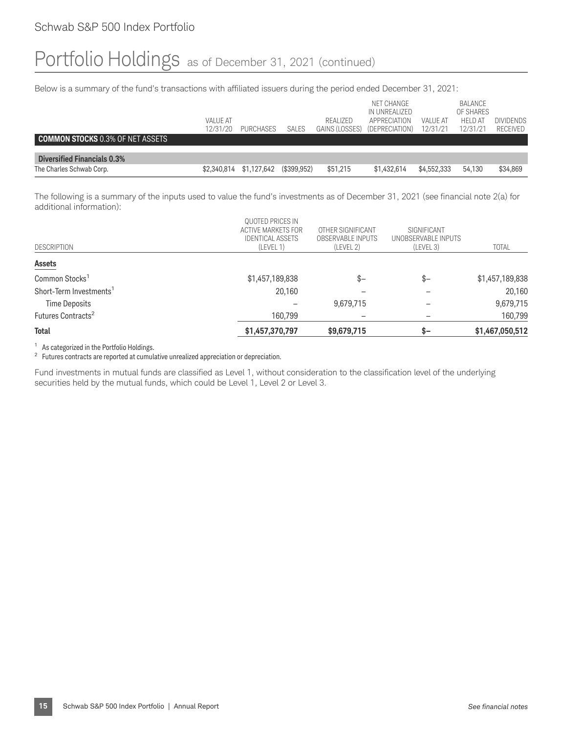Below is a summary of the fund's transactions with affiliated issuers during the period ended December 31, 2021:

|                                    |                 |             |              |                | NET CHANGE<br>IN UNREALIZED |             | BALANCE<br>OF SHARES |                  |
|------------------------------------|-----------------|-------------|--------------|----------------|-----------------------------|-------------|----------------------|------------------|
|                                    | <b>VALUE AT</b> |             |              | REALIZED       | APPRECIATION                | VALUE AT    | <b>HELD AT</b>       | <b>DIVIDENDS</b> |
|                                    | 12/31/20        | PURCHASES   | <b>SALES</b> | GAINS (LOSSES) | (DEPRECIATION)              | 12/31/21    | 12/31/21             | <b>RECEIVED</b>  |
| COMMON STOCKS 0.3% OF NET ASSETS   |                 |             |              |                |                             |             |                      |                  |
|                                    |                 |             |              |                |                             |             |                      |                  |
| <b>Diversified Financials 0.3%</b> |                 |             |              |                |                             |             |                      |                  |
| The Charles Schwab Corp.           | \$2,340,814     | \$1,127,642 | (\$399.952)  | \$51,215       | \$1,432,614                 | \$4,552,333 | 54.130               | \$34,869         |

The following is a summary of the inputs used to value the fund's investments as of December 31, 2021 (see financial note 2(a) for additional information):

|                                     | QUOTED PRICES IN<br>ACTIVE MARKETS FOR<br><b>IDENTICAL ASSETS</b> | OTHER SIGNIFICANT<br><b>OBSERVABLE INPUTS</b> | SIGNIFICANT<br>UNOBSERVABLE INPUTS |                 |
|-------------------------------------|-------------------------------------------------------------------|-----------------------------------------------|------------------------------------|-----------------|
| <b>DESCRIPTION</b>                  | (LEVEL 1)                                                         | (LEVEL 2)                                     | (LEVEL 3)                          | <b>TOTAL</b>    |
| <b>Assets</b>                       |                                                                   |                                               |                                    |                 |
| Common Stocks <sup>1</sup>          | \$1,457,189,838                                                   | $S-$                                          | $s-$                               | \$1,457,189,838 |
| Short-Term Investments <sup>1</sup> | 20,160                                                            |                                               |                                    | 20,160          |
| <b>Time Deposits</b>                |                                                                   | 9,679,715                                     |                                    | 9,679,715       |
| Futures Contracts <sup>2</sup>      | 160,799                                                           |                                               |                                    | 160,799         |
| <b>Total</b>                        | \$1,457,370,797                                                   | \$9,679,715                                   | \$–                                | \$1,467,050,512 |

<sup>1</sup> As categorized in the Portfolio Holdings.

<sup>2</sup> Futures contracts are reported at cumulative unrealized appreciation or depreciation.

Fund investments in mutual funds are classified as Level 1, without consideration to the classification level of the underlying securities held by the mutual funds, which could be Level 1, Level 2 or Level 3.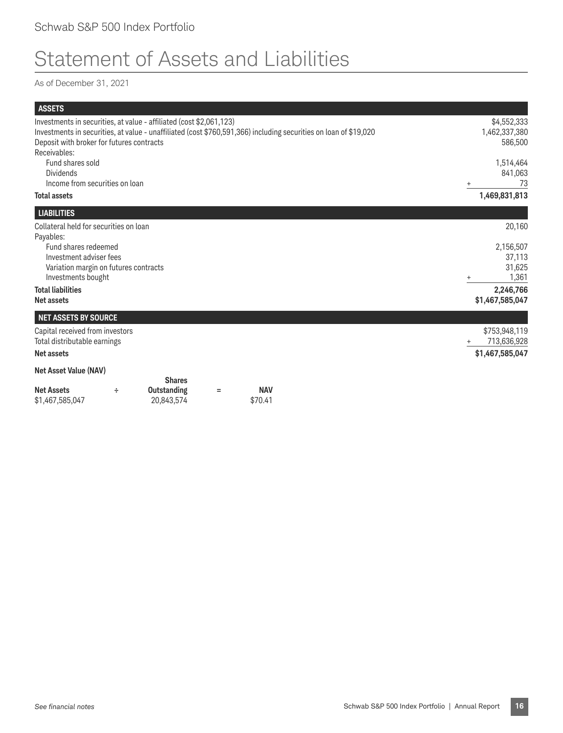## Statement of Assets and Liabilities

As of December 31, 2021

| <b>ASSETS</b>                                                                                                  |   |                                                                     |   |                       |                                                                                                                  |                                                     |
|----------------------------------------------------------------------------------------------------------------|---|---------------------------------------------------------------------|---|-----------------------|------------------------------------------------------------------------------------------------------------------|-----------------------------------------------------|
| Deposit with broker for futures contracts<br>Receivables:                                                      |   | Investments in securities, at value - affiliated (cost \$2,061,123) |   |                       | Investments in securities, at value - unaffiliated (cost \$760,591,366) including securities on loan of \$19,020 | \$4,552,333<br>1,462,337,380<br>586,500             |
| Fund shares sold<br><b>Dividends</b><br>Income from securities on loan                                         |   |                                                                     |   |                       |                                                                                                                  | 1,514,464<br>841,063<br>73<br>$\ddot{}$             |
| <b>Total assets</b>                                                                                            |   |                                                                     |   |                       |                                                                                                                  | 1,469,831,813                                       |
| <b>LIABILITIES</b>                                                                                             |   |                                                                     |   |                       |                                                                                                                  |                                                     |
| Collateral held for securities on loan<br>Payables:                                                            |   |                                                                     |   |                       |                                                                                                                  | 20,160                                              |
| Fund shares redeemed<br>Investment adviser fees<br>Variation margin on futures contracts<br>Investments bought |   |                                                                     |   |                       |                                                                                                                  | 2,156,507<br>37,113<br>31,625<br>1,361<br>$\ddot{}$ |
| <b>Total liabilities</b><br><b>Net assets</b>                                                                  |   |                                                                     |   |                       |                                                                                                                  | 2,246,766<br>\$1,467,585,047                        |
| <b>NET ASSETS BY SOURCE</b>                                                                                    |   |                                                                     |   |                       |                                                                                                                  |                                                     |
| Capital received from investors<br>Total distributable earnings                                                |   |                                                                     |   |                       |                                                                                                                  | \$753,948,119<br>713,636,928                        |
| <b>Net assets</b>                                                                                              |   |                                                                     |   |                       |                                                                                                                  | \$1,467,585,047                                     |
| <b>Net Asset Value (NAV)</b>                                                                                   |   |                                                                     |   |                       |                                                                                                                  |                                                     |
| <b>Net Assets</b><br>\$1,467,585,047                                                                           | ÷ | <b>Shares</b><br><b>Outstanding</b><br>20,843,574                   | Ξ | <b>NAV</b><br>\$70.41 |                                                                                                                  |                                                     |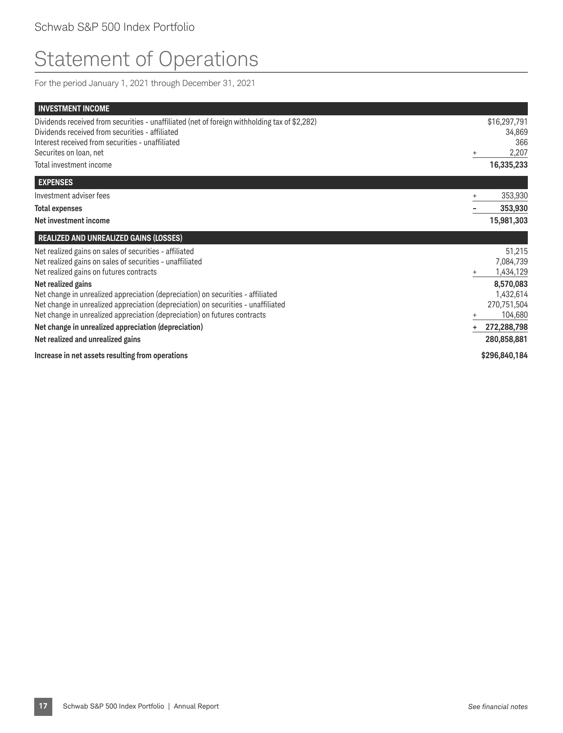## Statement of Operations

For the period January 1, 2021 through December 31, 2021

| <b>INVESTMENT INCOME</b>                                                                                                                                                                                                                                                                                                                                    |                                                                                        |
|-------------------------------------------------------------------------------------------------------------------------------------------------------------------------------------------------------------------------------------------------------------------------------------------------------------------------------------------------------------|----------------------------------------------------------------------------------------|
| Dividends received from securities - unaffiliated (net of foreign withholding tax of \$2,282)<br>Dividends received from securities - affiliated<br>Interest received from securities - unaffiliated                                                                                                                                                        | \$16,297,791<br>34,869<br>366                                                          |
| Securites on loan, net                                                                                                                                                                                                                                                                                                                                      | 2,207                                                                                  |
| Total investment income                                                                                                                                                                                                                                                                                                                                     | 16,335,233                                                                             |
| <b>EXPENSES</b>                                                                                                                                                                                                                                                                                                                                             |                                                                                        |
| Investment adviser fees                                                                                                                                                                                                                                                                                                                                     | 353,930<br>$\ddot{}$                                                                   |
| <b>Total expenses</b>                                                                                                                                                                                                                                                                                                                                       | 353,930                                                                                |
| Net investment income                                                                                                                                                                                                                                                                                                                                       | 15,981,303                                                                             |
| <b>REALIZED AND UNREALIZED GAINS (LOSSES)</b>                                                                                                                                                                                                                                                                                                               |                                                                                        |
| Net realized gains on sales of securities - affiliated<br>Net realized gains on sales of securities - unaffiliated<br>Net realized gains on futures contracts<br>Net realized gains<br>Net change in unrealized appreciation (depreciation) on securities - affiliated<br>Net change in unrealized appreciation (depreciation) on securities - unaffiliated | 51,215<br>7,084,739<br>1,434,129<br>$\ddot{}$<br>8,570,083<br>1,432,614<br>270,751,504 |
| Net change in unrealized appreciation (depreciation) on futures contracts                                                                                                                                                                                                                                                                                   | 104,680<br>+                                                                           |
| Net change in unrealized appreciation (depreciation)                                                                                                                                                                                                                                                                                                        | 272,288,798<br>÷                                                                       |
| Net realized and unrealized gains                                                                                                                                                                                                                                                                                                                           | 280,858,881                                                                            |
| Increase in net assets resulting from operations                                                                                                                                                                                                                                                                                                            | \$296,840,184                                                                          |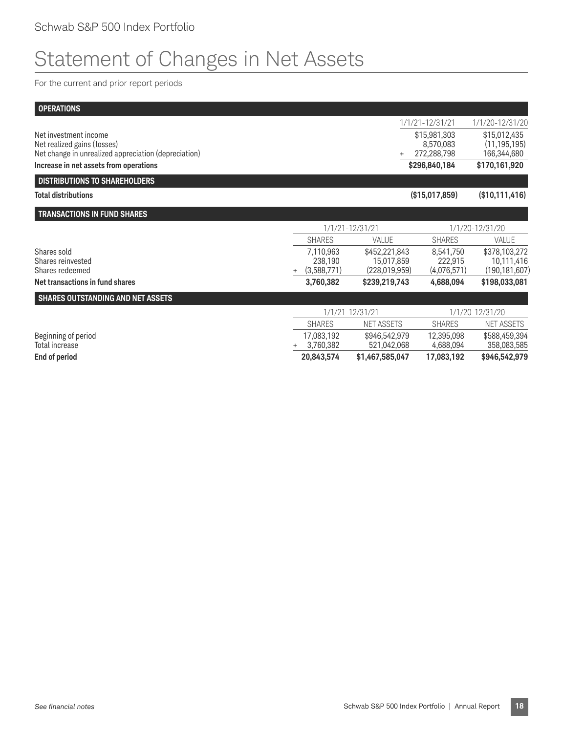## Statement of Changes in Net Assets

For the current and prior report periods

| <b>OPERATIONS</b>                                                                   |                         |                              |                          |                               |
|-------------------------------------------------------------------------------------|-------------------------|------------------------------|--------------------------|-------------------------------|
|                                                                                     |                         |                              | 1/1/21-12/31/21          | 1/1/20-12/31/20               |
| Net investment income                                                               |                         |                              | \$15,981,303             | \$15,012,435                  |
| Net realized gains (losses)<br>Net change in unrealized appreciation (depreciation) |                         |                              | 8,570,083<br>272,288,798 | (11, 195, 195)<br>166,344,680 |
| Increase in net assets from operations                                              |                         |                              | \$296,840,184            | \$170,161,920                 |
| <b>DISTRIBUTIONS TO SHAREHOLDERS</b>                                                |                         |                              |                          |                               |
| <b>Total distributions</b>                                                          |                         |                              | (\$15,017,859)           | (\$10,111,416)                |
| <b>TRANSACTIONS IN FUND SHARES</b>                                                  |                         |                              |                          |                               |
|                                                                                     |                         | 1/1/21-12/31/21              |                          | 1/1/20-12/31/20               |
|                                                                                     | <b>SHARES</b>           | VALUE                        | <b>SHARES</b>            | VALUE                         |
| Shares sold                                                                         | 7,110,963               | \$452,221,843                | 8,541,750                | \$378,103,272                 |
| Shares reinvested<br>Shares redeemed                                                | 238,190                 | 15,017,859                   | 222,915                  | 10,111,416                    |
|                                                                                     | (3,588,771)<br>$+$      | (228,019,959)                | (4,076,571)              | (190, 181, 607)               |
| Net transactions in fund shares                                                     | 3,760,382               | \$239,219,743                | 4,688,094                | \$198,033,081                 |
| SHARES OUTSTANDING AND NET ASSETS                                                   |                         |                              |                          |                               |
|                                                                                     |                         | 1/1/21-12/31/21              |                          | 1/1/20-12/31/20               |
|                                                                                     | <b>SHARES</b>           | <b>NET ASSETS</b>            | <b>SHARES</b>            | NET ASSETS                    |
| Beginning of period<br>Total increase                                               | 17,083,192<br>3,760,382 | \$946,542,979<br>521,042,068 | 12,395,098<br>4,688,094  | \$588,459,394<br>358,083,585  |
| <b>End of period</b>                                                                | 20,843,574              | \$1,467,585,047              | 17,083,192               | \$946,542,979                 |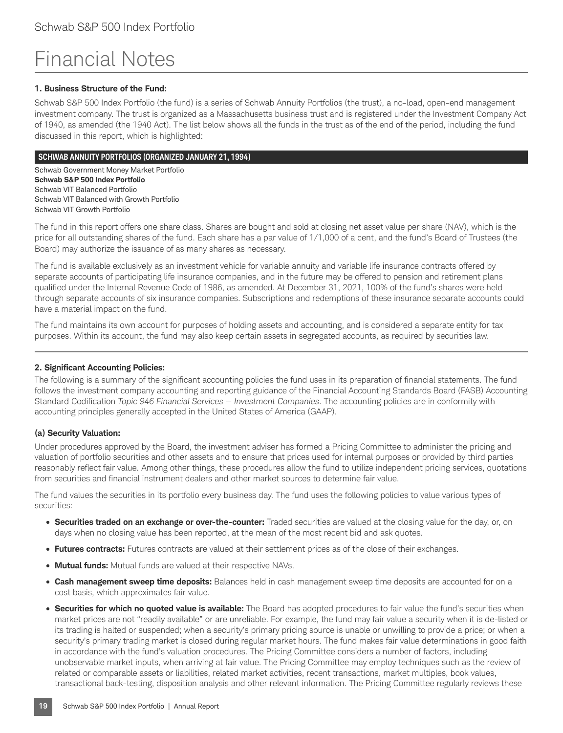## Financial Notes

#### **1. Business Structure of the Fund:**

Schwab S&P 500 Index Portfolio (the fund) is a series of Schwab Annuity Portfolios (the trust), a no-load, open-end management investment company. The trust is organized as a Massachusetts business trust and is registered under the Investment Company Act of 1940, as amended (the 1940 Act). The list below shows all the funds in the trust as of the end of the period, including the fund discussed in this report, which is highlighted:

#### **SCHWAB ANNUITY PORTFOLIOS (ORGANIZED JANUARY 21, 1994)**

Schwab Government Money Market Portfolio **Schwab S&P 500 Index Portfolio** Schwab VIT Balanced Portfolio Schwab VIT Balanced with Growth Portfolio Schwab VIT Growth Portfolio

The fund in this report offers one share class. Shares are bought and sold at closing net asset value per share (NAV), which is the price for all outstanding shares of the fund. Each share has a par value of 1/1,000 of a cent, and the fund's Board of Trustees (the Board) may authorize the issuance of as many shares as necessary.

The fund is available exclusively as an investment vehicle for variable annuity and variable life insurance contracts offered by separate accounts of participating life insurance companies, and in the future may be offered to pension and retirement plans qualified under the Internal Revenue Code of 1986, as amended. At December 31, 2021, 100% of the fund's shares were held through separate accounts of six insurance companies. Subscriptions and redemptions of these insurance separate accounts could have a material impact on the fund.

The fund maintains its own account for purposes of holding assets and accounting, and is considered a separate entity for tax purposes. Within its account, the fund may also keep certain assets in segregated accounts, as required by securities law.

#### **2. Significant Accounting Policies:**

The following is a summary of the significant accounting policies the fund uses in its preparation of financial statements. The fund follows the investment company accounting and reporting guidance of the Financial Accounting Standards Board (FASB) Accounting Standard Codification *Topic 946 Financial Services — Investment Companies*. The accounting policies are in conformity with accounting principles generally accepted in the United States of America (GAAP).

#### **(a) Security Valuation:**

Under procedures approved by the Board, the investment adviser has formed a Pricing Committee to administer the pricing and valuation of portfolio securities and other assets and to ensure that prices used for internal purposes or provided by third parties reasonably reflect fair value. Among other things, these procedures allow the fund to utilize independent pricing services, quotations from securities and financial instrument dealers and other market sources to determine fair value.

The fund values the securities in its portfolio every business day. The fund uses the following policies to value various types of securities:

- **Securities traded on an exchange or over-the-counter:** Traded securities are valued at the closing value for the day, or, on days when no closing value has been reported, at the mean of the most recent bid and ask quotes.
- **Futures contracts:** Futures contracts are valued at their settlement prices as of the close of their exchanges.
- **Mutual funds:** Mutual funds are valued at their respective NAVs.
- **Cash management sweep time deposits:** Balances held in cash management sweep time deposits are accounted for on a cost basis, which approximates fair value.
- **Securities for which no quoted value is available:** The Board has adopted procedures to fair value the fund's securities when market prices are not "readily available" or are unreliable. For example, the fund may fair value a security when it is de-listed or its trading is halted or suspended; when a security's primary pricing source is unable or unwilling to provide a price; or when a security's primary trading market is closed during regular market hours. The fund makes fair value determinations in good faith in accordance with the fund's valuation procedures. The Pricing Committee considers a number of factors, including unobservable market inputs, when arriving at fair value. The Pricing Committee may employ techniques such as the review of related or comparable assets or liabilities, related market activities, recent transactions, market multiples, book values, transactional back-testing, disposition analysis and other relevant information. The Pricing Committee regularly reviews these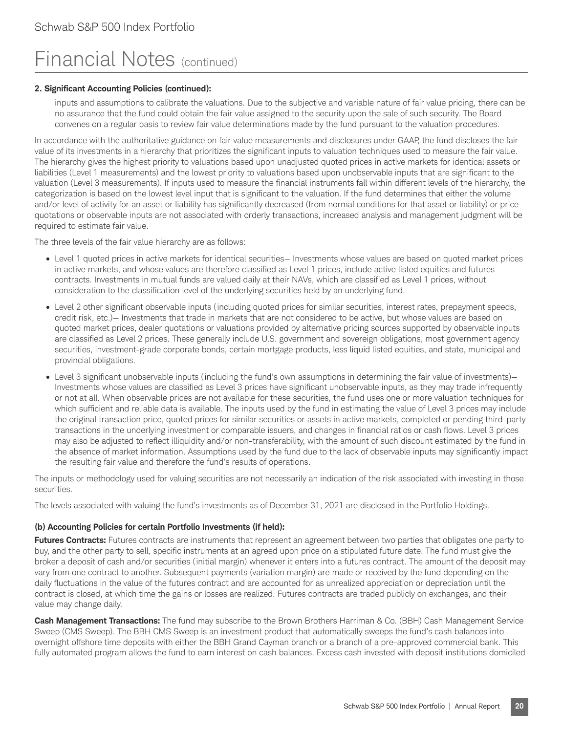#### **2. Significant Accounting Policies (continued):**

inputs and assumptions to calibrate the valuations. Due to the subjective and variable nature of fair value pricing, there can be no assurance that the fund could obtain the fair value assigned to the security upon the sale of such security. The Board convenes on a regular basis to review fair value determinations made by the fund pursuant to the valuation procedures.

In accordance with the authoritative guidance on fair value measurements and disclosures under GAAP, the fund discloses the fair value of its investments in a hierarchy that prioritizes the significant inputs to valuation techniques used to measure the fair value. The hierarchy gives the highest priority to valuations based upon unadjusted quoted prices in active markets for identical assets or liabilities (Level 1 measurements) and the lowest priority to valuations based upon unobservable inputs that are significant to the valuation (Level 3 measurements). If inputs used to measure the financial instruments fall within different levels of the hierarchy, the categorization is based on the lowest level input that is significant to the valuation. If the fund determines that either the volume and/or level of activity for an asset or liability has significantly decreased (from normal conditions for that asset or liability) or price quotations or observable inputs are not associated with orderly transactions, increased analysis and management judgment will be required to estimate fair value.

The three levels of the fair value hierarchy are as follows:

- Level 1 quoted prices in active markets for identical securities— Investments whose values are based on quoted market prices in active markets, and whose values are therefore classified as Level 1 prices, include active listed equities and futures contracts. Investments in mutual funds are valued daily at their NAVs, which are classified as Level 1 prices, without consideration to the classification level of the underlying securities held by an underlying fund.
- Level 2 other significant observable inputs (including quoted prices for similar securities, interest rates, prepayment speeds, credit risk, etc.)— Investments that trade in markets that are not considered to be active, but whose values are based on quoted market prices, dealer quotations or valuations provided by alternative pricing sources supported by observable inputs are classified as Level 2 prices. These generally include U.S. government and sovereign obligations, most government agency securities, investment-grade corporate bonds, certain mortgage products, less liquid listed equities, and state, municipal and provincial obligations.
- Level 3 significant unobservable inputs (including the fund's own assumptions in determining the fair value of investments)— Investments whose values are classified as Level 3 prices have significant unobservable inputs, as they may trade infrequently or not at all. When observable prices are not available for these securities, the fund uses one or more valuation techniques for which sufficient and reliable data is available. The inputs used by the fund in estimating the value of Level 3 prices may include the original transaction price, quoted prices for similar securities or assets in active markets, completed or pending third-party transactions in the underlying investment or comparable issuers, and changes in financial ratios or cash flows. Level 3 prices may also be adjusted to reflect illiquidity and/or non-transferability, with the amount of such discount estimated by the fund in the absence of market information. Assumptions used by the fund due to the lack of observable inputs may significantly impact the resulting fair value and therefore the fund's results of operations.

The inputs or methodology used for valuing securities are not necessarily an indication of the risk associated with investing in those securities.

The levels associated with valuing the fund's investments as of December 31, 2021 are disclosed in the Portfolio Holdings.

#### **(b) Accounting Policies for certain Portfolio Investments (if held):**

**Futures Contracts:** Futures contracts are instruments that represent an agreement between two parties that obligates one party to buy, and the other party to sell, specific instruments at an agreed upon price on a stipulated future date. The fund must give the broker a deposit of cash and/or securities (initial margin) whenever it enters into a futures contract. The amount of the deposit may vary from one contract to another. Subsequent payments (variation margin) are made or received by the fund depending on the daily fluctuations in the value of the futures contract and are accounted for as unrealized appreciation or depreciation until the contract is closed, at which time the gains or losses are realized. Futures contracts are traded publicly on exchanges, and their value may change daily.

**Cash Management Transactions:** The fund may subscribe to the Brown Brothers Harriman & Co. (BBH) Cash Management Service Sweep (CMS Sweep). The BBH CMS Sweep is an investment product that automatically sweeps the fund's cash balances into overnight offshore time deposits with either the BBH Grand Cayman branch or a branch of a pre-approved commercial bank. This fully automated program allows the fund to earn interest on cash balances. Excess cash invested with deposit institutions domiciled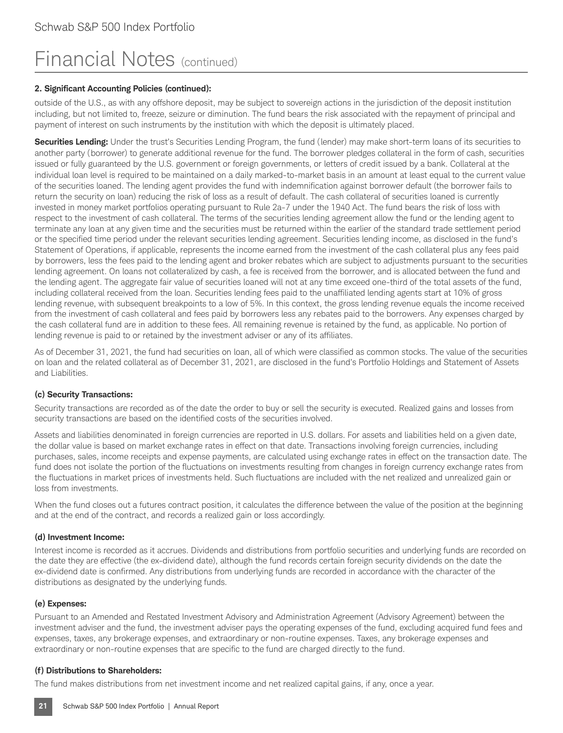#### **2. Significant Accounting Policies (continued):**

outside of the U.S., as with any offshore deposit, may be subject to sovereign actions in the jurisdiction of the deposit institution including, but not limited to, freeze, seizure or diminution. The fund bears the risk associated with the repayment of principal and payment of interest on such instruments by the institution with which the deposit is ultimately placed.

**Securities Lending:** Under the trust's Securities Lending Program, the fund (lender) may make short-term loans of its securities to another party (borrower) to generate additional revenue for the fund. The borrower pledges collateral in the form of cash, securities issued or fully guaranteed by the U.S. government or foreign governments, or letters of credit issued by a bank. Collateral at the individual loan level is required to be maintained on a daily marked-to-market basis in an amount at least equal to the current value of the securities loaned. The lending agent provides the fund with indemnification against borrower default (the borrower fails to return the security on loan) reducing the risk of loss as a result of default. The cash collateral of securities loaned is currently invested in money market portfolios operating pursuant to Rule 2a-7 under the 1940 Act. The fund bears the risk of loss with respect to the investment of cash collateral. The terms of the securities lending agreement allow the fund or the lending agent to terminate any loan at any given time and the securities must be returned within the earlier of the standard trade settlement period or the specified time period under the relevant securities lending agreement. Securities lending income, as disclosed in the fund's Statement of Operations, if applicable, represents the income earned from the investment of the cash collateral plus any fees paid by borrowers, less the fees paid to the lending agent and broker rebates which are subject to adjustments pursuant to the securities lending agreement. On loans not collateralized by cash, a fee is received from the borrower, and is allocated between the fund and the lending agent. The aggregate fair value of securities loaned will not at any time exceed one-third of the total assets of the fund, including collateral received from the loan. Securities lending fees paid to the unaffiliated lending agents start at 10% of gross lending revenue, with subsequent breakpoints to a low of 5%. In this context, the gross lending revenue equals the income received from the investment of cash collateral and fees paid by borrowers less any rebates paid to the borrowers. Any expenses charged by the cash collateral fund are in addition to these fees. All remaining revenue is retained by the fund, as applicable. No portion of lending revenue is paid to or retained by the investment adviser or any of its affiliates.

As of December 31, 2021, the fund had securities on loan, all of which were classified as common stocks. The value of the securities on loan and the related collateral as of December 31, 2021, are disclosed in the fund's Portfolio Holdings and Statement of Assets and Liabilities.

#### **(c) Security Transactions:**

Security transactions are recorded as of the date the order to buy or sell the security is executed. Realized gains and losses from security transactions are based on the identified costs of the securities involved.

Assets and liabilities denominated in foreign currencies are reported in U.S. dollars. For assets and liabilities held on a given date, the dollar value is based on market exchange rates in effect on that date. Transactions involving foreign currencies, including purchases, sales, income receipts and expense payments, are calculated using exchange rates in effect on the transaction date. The fund does not isolate the portion of the fluctuations on investments resulting from changes in foreign currency exchange rates from the fluctuations in market prices of investments held. Such fluctuations are included with the net realized and unrealized gain or loss from investments.

When the fund closes out a futures contract position, it calculates the difference between the value of the position at the beginning and at the end of the contract, and records a realized gain or loss accordingly.

#### **(d) Investment Income:**

Interest income is recorded as it accrues. Dividends and distributions from portfolio securities and underlying funds are recorded on the date they are effective (the ex-dividend date), although the fund records certain foreign security dividends on the date the ex-dividend date is confirmed. Any distributions from underlying funds are recorded in accordance with the character of the distributions as designated by the underlying funds.

#### **(e) Expenses:**

Pursuant to an Amended and Restated Investment Advisory and Administration Agreement (Advisory Agreement) between the investment adviser and the fund, the investment adviser pays the operating expenses of the fund, excluding acquired fund fees and expenses, taxes, any brokerage expenses, and extraordinary or non-routine expenses. Taxes, any brokerage expenses and extraordinary or non-routine expenses that are specific to the fund are charged directly to the fund.

#### **(f) Distributions to Shareholders:**

The fund makes distributions from net investment income and net realized capital gains, if any, once a year.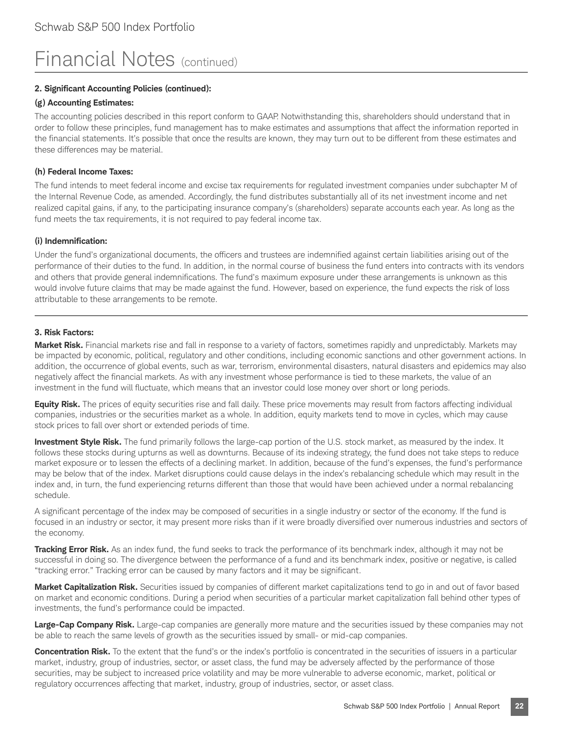#### **2. Significant Accounting Policies (continued):**

#### **(g) Accounting Estimates:**

The accounting policies described in this report conform to GAAP. Notwithstanding this, shareholders should understand that in order to follow these principles, fund management has to make estimates and assumptions that affect the information reported in the financial statements. It's possible that once the results are known, they may turn out to be different from these estimates and these differences may be material.

#### **(h) Federal Income Taxes:**

The fund intends to meet federal income and excise tax requirements for regulated investment companies under subchapter M of the Internal Revenue Code, as amended. Accordingly, the fund distributes substantially all of its net investment income and net realized capital gains, if any, to the participating insurance company's (shareholders) separate accounts each year. As long as the fund meets the tax requirements, it is not required to pay federal income tax.

#### **(i) Indemnification:**

Under the fund's organizational documents, the officers and trustees are indemnified against certain liabilities arising out of the performance of their duties to the fund. In addition, in the normal course of business the fund enters into contracts with its vendors and others that provide general indemnifications. The fund's maximum exposure under these arrangements is unknown as this would involve future claims that may be made against the fund. However, based on experience, the fund expects the risk of loss attributable to these arrangements to be remote.

#### **3. Risk Factors:**

**Market Risk.** Financial markets rise and fall in response to a variety of factors, sometimes rapidly and unpredictably. Markets may be impacted by economic, political, regulatory and other conditions, including economic sanctions and other government actions. In addition, the occurrence of global events, such as war, terrorism, environmental disasters, natural disasters and epidemics may also negatively affect the financial markets. As with any investment whose performance is tied to these markets, the value of an investment in the fund will fluctuate, which means that an investor could lose money over short or long periods.

**Equity Risk.** The prices of equity securities rise and fall daily. These price movements may result from factors affecting individual companies, industries or the securities market as a whole. In addition, equity markets tend to move in cycles, which may cause stock prices to fall over short or extended periods of time.

**Investment Style Risk.** The fund primarily follows the large-cap portion of the U.S. stock market, as measured by the index. It follows these stocks during upturns as well as downturns. Because of its indexing strategy, the fund does not take steps to reduce market exposure or to lessen the effects of a declining market. In addition, because of the fund's expenses, the fund's performance may be below that of the index. Market disruptions could cause delays in the index's rebalancing schedule which may result in the index and, in turn, the fund experiencing returns different than those that would have been achieved under a normal rebalancing schedule.

A significant percentage of the index may be composed of securities in a single industry or sector of the economy. If the fund is focused in an industry or sector, it may present more risks than if it were broadly diversified over numerous industries and sectors of the economy.

**Tracking Error Risk.** As an index fund, the fund seeks to track the performance of its benchmark index, although it may not be successful in doing so. The divergence between the performance of a fund and its benchmark index, positive or negative, is called "tracking error." Tracking error can be caused by many factors and it may be significant.

**Market Capitalization Risk.** Securities issued by companies of different market capitalizations tend to go in and out of favor based on market and economic conditions. During a period when securities of a particular market capitalization fall behind other types of investments, the fund's performance could be impacted.

**Large-Cap Company Risk.** Large-cap companies are generally more mature and the securities issued by these companies may not be able to reach the same levels of growth as the securities issued by small- or mid-cap companies.

**Concentration Risk.** To the extent that the fund's or the index's portfolio is concentrated in the securities of issuers in a particular market, industry, group of industries, sector, or asset class, the fund may be adversely affected by the performance of those securities, may be subject to increased price volatility and may be more vulnerable to adverse economic, market, political or regulatory occurrences affecting that market, industry, group of industries, sector, or asset class.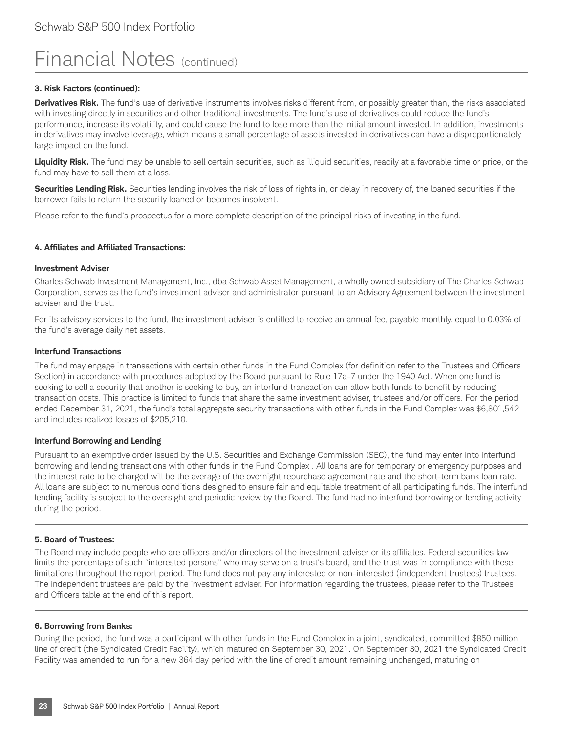#### **3. Risk Factors (continued):**

**Derivatives Risk.** The fund's use of derivative instruments involves risks different from, or possibly greater than, the risks associated with investing directly in securities and other traditional investments. The fund's use of derivatives could reduce the fund's performance, increase its volatility, and could cause the fund to lose more than the initial amount invested. In addition, investments in derivatives may involve leverage, which means a small percentage of assets invested in derivatives can have a disproportionately large impact on the fund.

Liquidity Risk. The fund may be unable to sell certain securities, such as illiquid securities, readily at a favorable time or price, or the fund may have to sell them at a loss.

**Securities Lending Risk.** Securities lending involves the risk of loss of rights in, or delay in recovery of, the loaned securities if the borrower fails to return the security loaned or becomes insolvent.

Please refer to the fund's prospectus for a more complete description of the principal risks of investing in the fund.

#### **4. Affiliates and Affiliated Transactions:**

#### **Investment Adviser**

Charles Schwab Investment Management, Inc., dba Schwab Asset Management, a wholly owned subsidiary of The Charles Schwab Corporation, serves as the fund's investment adviser and administrator pursuant to an Advisory Agreement between the investment adviser and the trust.

For its advisory services to the fund, the investment adviser is entitled to receive an annual fee, payable monthly, equal to 0.03% of the fund's average daily net assets.

#### **Interfund Transactions**

The fund may engage in transactions with certain other funds in the Fund Complex (for definition refer to the Trustees and Officers Section) in accordance with procedures adopted by the Board pursuant to Rule 17a-7 under the 1940 Act. When one fund is seeking to sell a security that another is seeking to buy, an interfund transaction can allow both funds to benefit by reducing transaction costs. This practice is limited to funds that share the same investment adviser, trustees and/or officers. For the period ended December 31, 2021, the fund's total aggregate security transactions with other funds in the Fund Complex was \$6,801,542 and includes realized losses of \$205,210.

#### **Interfund Borrowing and Lending**

Pursuant to an exemptive order issued by the U.S. Securities and Exchange Commission (SEC), the fund may enter into interfund borrowing and lending transactions with other funds in the Fund Complex . All loans are for temporary or emergency purposes and the interest rate to be charged will be the average of the overnight repurchase agreement rate and the short-term bank loan rate. All loans are subject to numerous conditions designed to ensure fair and equitable treatment of all participating funds. The interfund lending facility is subject to the oversight and periodic review by the Board. The fund had no interfund borrowing or lending activity during the period.

#### **5. Board of Trustees:**

The Board may include people who are officers and/or directors of the investment adviser or its affiliates. Federal securities law limits the percentage of such "interested persons" who may serve on a trust's board, and the trust was in compliance with these limitations throughout the report period. The fund does not pay any interested or non-interested (independent trustees) trustees. The independent trustees are paid by the investment adviser. For information regarding the trustees, please refer to the Trustees and Officers table at the end of this report.

#### **6. Borrowing from Banks:**

During the period, the fund was a participant with other funds in the Fund Complex in a joint, syndicated, committed \$850 million line of credit (the Syndicated Credit Facility), which matured on September 30, 2021. On September 30, 2021 the Syndicated Credit Facility was amended to run for a new 364 day period with the line of credit amount remaining unchanged, maturing on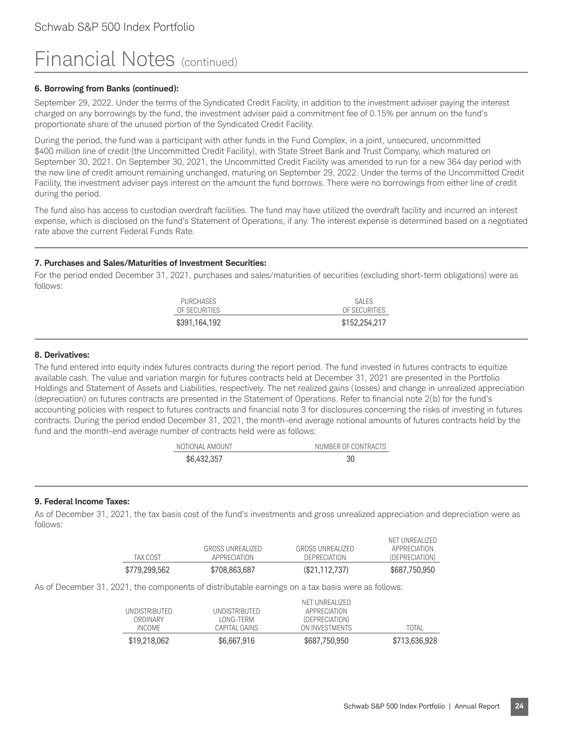#### **6. Borrowing from Banks (continued):**

September 29, 2022. Under the terms of the Syndicated Credit Facility, in addition to the investment adviser paying the interest charged on any borrowings by the fund, the investment adviser paid a commitment fee of 0.15% per annum on the fund's proportionate share of the unused portion of the Syndicated Credit Facility.

During the period, the fund was a participant with other funds in the Fund Complex, in a joint, unsecured, uncommitted \$400 million line of credit (the Uncommitted Credit Facility), with State Street Bank and Trust Company, which matured on September 30, 2021. On September 30, 2021, the Uncommitted Credit Facility was amended to run for a new 364 day period with the new line of credit amount remaining unchanged, maturing on September 29, 2022. Under the terms of the Uncommitted Credit Facility, the investment adviser pays interest on the amount the fund borrows. There were no borrowings from either line of credit during the period.

The fund also has access to custodian overdraft facilities. The fund may have utilized the overdraft facility and incurred an interest expense, which is disclosed on the fund's Statement of Operations, if any. The interest expense is determined based on a negotiated rate above the current Federal Funds Rate.

#### **7. Purchases and Sales/Maturities of Investment Securities:**

For the period ended December 31, 2021, purchases and sales/maturities of securities (excluding short-term obligations) were as follows:

| \$391,164,192                     | OF SECURITIES<br>\$152,254,217 |
|-----------------------------------|--------------------------------|
| <b>PURCHASES</b><br>OF SECURITIES | SAI FS                         |

#### **8. Derivatives:**

The fund entered into equity index futures contracts during the report period. The fund invested in futures contracts to equitize available cash. The value and variation margin for futures contracts held at December 31, 2021 are presented in the Portfolio Holdings and Statement of Assets and Liabilities, respectively. The net realized gains (losses) and change in unrealized appreciation (depreciation) on futures contracts are presented in the Statement of Operations. Refer to financial note 2(b) for the fund's accounting policies with respect to futures contracts and financial note 3 for disclosures concerning the risks of investing in futures contracts. During the period ended December 31, 2021, the month-end average notional amounts of futures contracts held by the fund and the month-end average number of contracts held were as follows:

| NOTIONAL AMOUNT | NUMBER OF CONTRACTS |
|-----------------|---------------------|
| \$6,432,357     | 30                  |

#### **9. Federal Income Taxes:**

As of December 31, 2021, the tax basis cost of the fund's investments and gross unrealized appreciation and depreciation were as follows:

| \$779,299,562 | \$708,863,687                    | $(\$21,112,737)$                 | \$687,750,950                                    |
|---------------|----------------------------------|----------------------------------|--------------------------------------------------|
| TAX COST      | GROSS UNREALIZED<br>APPRECIATION | GROSS UNREALIZED<br>DEPRECIATION | NET UNREALIZED<br>APPRECIATION<br>(DEPRECIATION) |

As of December 31, 2021, the components of distributable earnings on a tax basis were as follows:

| \$19,218,062  | \$6,667,916   | \$687,750,950  | \$713,636,928 |
|---------------|---------------|----------------|---------------|
| INCOME.       | CAPITAL GAINS | ON INVESTMENTS | TOTAL         |
| ORDINARY      | LONG-TERM     | (DEPRECIATION) |               |
| UNDISTRIBUTED | UNDISTRIBUTED | APPRECIATION   |               |
|               |               | NFT UNREALIZED |               |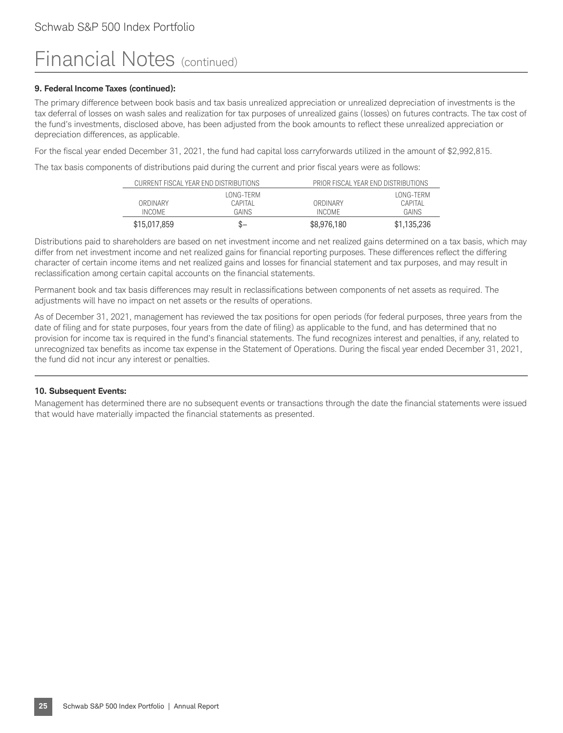#### **9. Federal Income Taxes (continued):**

The primary difference between book basis and tax basis unrealized appreciation or unrealized depreciation of investments is the tax deferral of losses on wash sales and realization for tax purposes of unrealized gains (losses) on futures contracts. The tax cost of the fund's investments, disclosed above, has been adjusted from the book amounts to reflect these unrealized appreciation or depreciation differences, as applicable.

For the fiscal year ended December 31, 2021, the fund had capital loss carryforwards utilized in the amount of \$2,992,815.

The tax basis components of distributions paid during the current and prior fiscal years were as follows:

| CURRENT FISCAL YEAR END DISTRIBUTIONS |            | PRIOR FISCAL YEAR END DISTRIBUTIONS |             |
|---------------------------------------|------------|-------------------------------------|-------------|
|                                       | I ONG-TFRM |                                     | LONG-TERM   |
| ORDINARY                              | CAPITAL    | ORDINARY                            | CAPITAL     |
| INCOME.                               | GAINS      | INCOME.                             | GAINS       |
| \$15,017,859                          | \$—        | \$8,976,180                         | \$1,135,236 |

Distributions paid to shareholders are based on net investment income and net realized gains determined on a tax basis, which may differ from net investment income and net realized gains for financial reporting purposes. These differences reflect the differing character of certain income items and net realized gains and losses for financial statement and tax purposes, and may result in reclassification among certain capital accounts on the financial statements.

Permanent book and tax basis differences may result in reclassifications between components of net assets as required. The adjustments will have no impact on net assets or the results of operations.

As of December 31, 2021, management has reviewed the tax positions for open periods (for federal purposes, three years from the date of filing and for state purposes, four years from the date of filing) as applicable to the fund, and has determined that no provision for income tax is required in the fund's financial statements. The fund recognizes interest and penalties, if any, related to unrecognized tax benefits as income tax expense in the Statement of Operations. During the fiscal year ended December 31, 2021, the fund did not incur any interest or penalties.

#### **10. Subsequent Events:**

Management has determined there are no subsequent events or transactions through the date the financial statements were issued that would have materially impacted the financial statements as presented.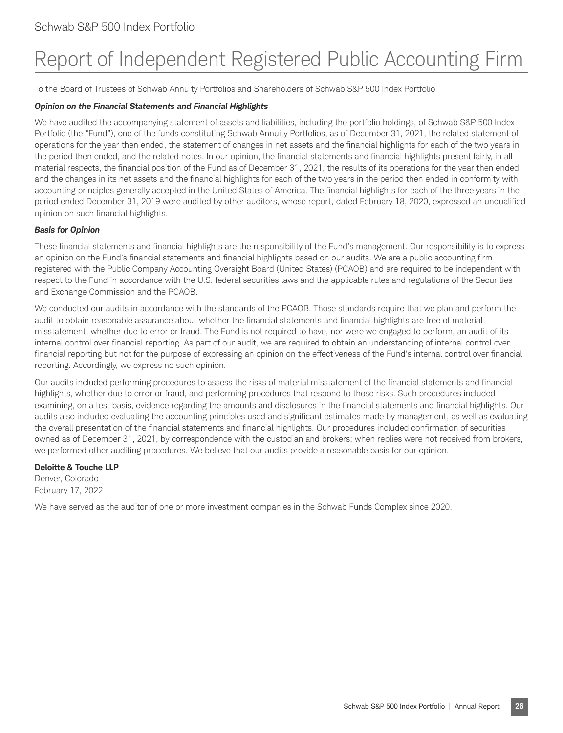## Report of Independent Registered Public Accounting Firm

To the Board of Trustees of Schwab Annuity Portfolios and Shareholders of Schwab S&P 500 Index Portfolio

#### *Opinion on the Financial Statements and Financial Highlights*

We have audited the accompanying statement of assets and liabilities, including the portfolio holdings, of Schwab S&P 500 Index Portfolio (the "Fund"), one of the funds constituting Schwab Annuity Portfolios, as of December 31, 2021, the related statement of operations for the year then ended, the statement of changes in net assets and the financial highlights for each of the two years in the period then ended, and the related notes. In our opinion, the financial statements and financial highlights present fairly, in all material respects, the financial position of the Fund as of December 31, 2021, the results of its operations for the year then ended, and the changes in its net assets and the financial highlights for each of the two years in the period then ended in conformity with accounting principles generally accepted in the United States of America. The financial highlights for each of the three years in the period ended December 31, 2019 were audited by other auditors, whose report, dated February 18, 2020, expressed an unqualified opinion on such financial highlights.

#### *Basis for Opinion*

These financial statements and financial highlights are the responsibility of the Fund's management. Our responsibility is to express an opinion on the Fund's financial statements and financial highlights based on our audits. We are a public accounting firm registered with the Public Company Accounting Oversight Board (United States) (PCAOB) and are required to be independent with respect to the Fund in accordance with the U.S. federal securities laws and the applicable rules and regulations of the Securities and Exchange Commission and the PCAOB.

We conducted our audits in accordance with the standards of the PCAOB. Those standards require that we plan and perform the audit to obtain reasonable assurance about whether the financial statements and financial highlights are free of material misstatement, whether due to error or fraud. The Fund is not required to have, nor were we engaged to perform, an audit of its internal control over financial reporting. As part of our audit, we are required to obtain an understanding of internal control over financial reporting but not for the purpose of expressing an opinion on the effectiveness of the Fund's internal control over financial reporting. Accordingly, we express no such opinion.

Our audits included performing procedures to assess the risks of material misstatement of the financial statements and financial highlights, whether due to error or fraud, and performing procedures that respond to those risks. Such procedures included examining, on a test basis, evidence regarding the amounts and disclosures in the financial statements and financial highlights. Our audits also included evaluating the accounting principles used and significant estimates made by management, as well as evaluating the overall presentation of the financial statements and financial highlights. Our procedures included confirmation of securities owned as of December 31, 2021, by correspondence with the custodian and brokers; when replies were not received from brokers, we performed other auditing procedures. We believe that our audits provide a reasonable basis for our opinion.

#### **Deloitte & Touche LLP**

Denver, Colorado February 17, 2022

We have served as the auditor of one or more investment companies in the Schwab Funds Complex since 2020.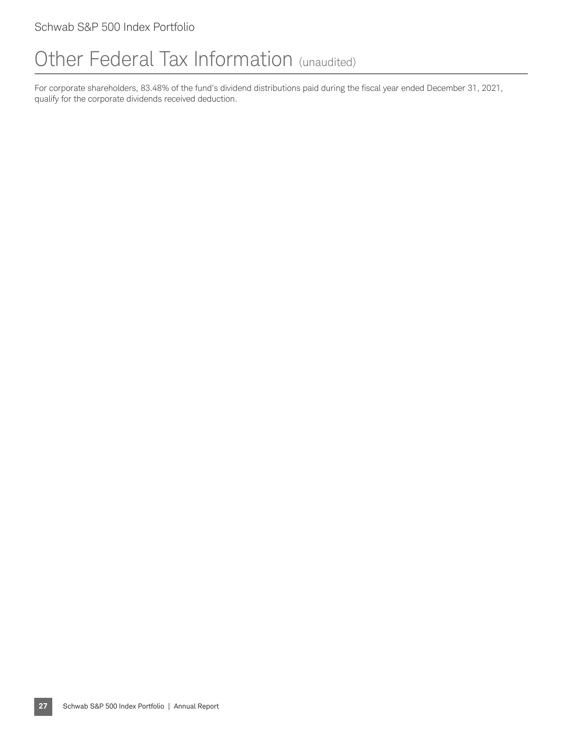### Other Federal Tax Information (unaudited)

For corporate shareholders, 83.48% of the fund's dividend distributions paid during the fiscal year ended December 31, 2021, qualify for the corporate dividends received deduction.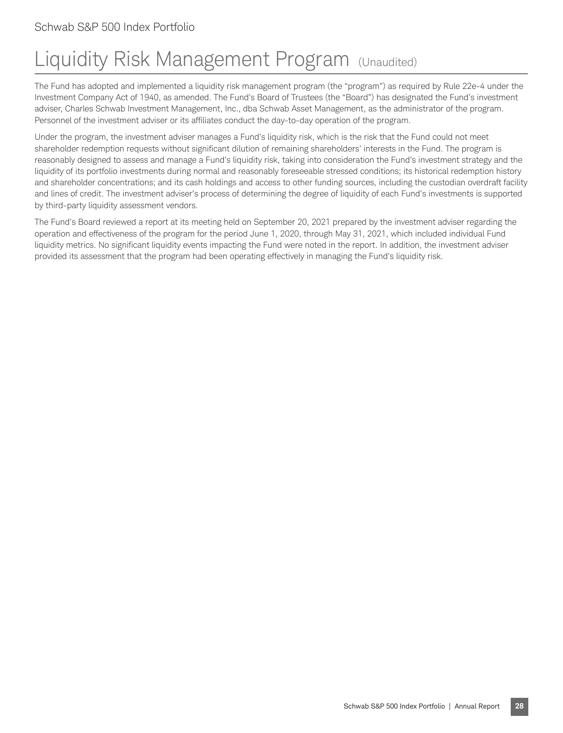## Liquidity Risk Management Program (Unaudited)

The Fund has adopted and implemented a liquidity risk management program (the "program") as required by Rule 22e-4 under the Investment Company Act of 1940, as amended. The Fund's Board of Trustees (the "Board") has designated the Fund's investment adviser, Charles Schwab Investment Management, Inc., dba Schwab Asset Management, as the administrator of the program. Personnel of the investment adviser or its affiliates conduct the day-to-day operation of the program.

Under the program, the investment adviser manages a Fund's liquidity risk, which is the risk that the Fund could not meet shareholder redemption requests without significant dilution of remaining shareholders' interests in the Fund. The program is reasonably designed to assess and manage a Fund's liquidity risk, taking into consideration the Fund's investment strategy and the liquidity of its portfolio investments during normal and reasonably foreseeable stressed conditions; its historical redemption history and shareholder concentrations; and its cash holdings and access to other funding sources, including the custodian overdraft facility and lines of credit. The investment adviser's process of determining the degree of liquidity of each Fund's investments is supported by third-party liquidity assessment vendors.

The Fund's Board reviewed a report at its meeting held on September 20, 2021 prepared by the investment adviser regarding the operation and effectiveness of the program for the period June 1, 2020, through May 31, 2021, which included individual Fund liquidity metrics. No significant liquidity events impacting the Fund were noted in the report. In addition, the investment adviser provided its assessment that the program had been operating effectively in managing the Fund's liquidity risk.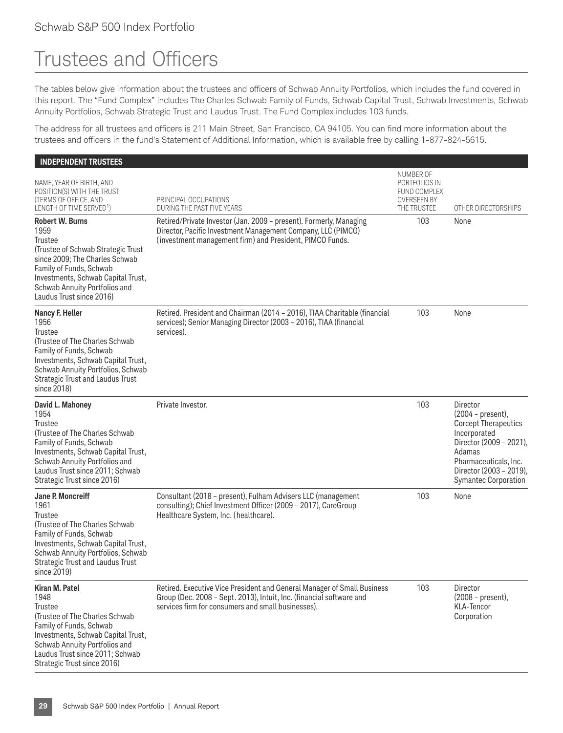## Trustees and Officers

The tables below give information about the trustees and officers of Schwab Annuity Portfolios, which includes the fund covered in this report. The "Fund Complex" includes The Charles Schwab Family of Funds, Schwab Capital Trust, Schwab Investments, Schwab Annuity Portfolios, Schwab Strategic Trust and Laudus Trust. The Fund Complex includes 103 funds.

The address for all trustees and officers is 211 Main Street, San Francisco, CA 94105. You can find more information about the trustees and officers in the fund's Statement of Additional Information, which is available free by calling 1-877-824-5615.

#### **INDEPENDENT TRUSTEES** NAME, YEAR OF BIRTH, AND POSITION(S) WITH THE TRUST (TERMS OF OFFICE, AND LENGTH OF TIME SERVED<sup>1</sup>) PRINCIPAL OCCUPATIONS DURING THE PAST FIVE YEARS NUMBER OF PORTFOLIOS IN FUND COMPLEX OVERSEEN BY<br>THE TRUSTEE OTHER DIRECTORSHIPS **Robert W. Burns** 1959 Trustee (Trustee of Schwab Strategic Trust since 2009; The Charles Schwab Family of Funds, Schwab Investments, Schwab Capital Trust, Schwab Annuity Portfolios and Laudus Trust since 2016) Retired/Private Investor (Jan. 2009 – present). Formerly, Managing Director, Pacific Investment Management Company, LLC (PIMCO) (investment management firm) and President, PIMCO Funds. 103 None **Nancy F. Heller** 1956 **Trustee** (Trustee of The Charles Schwab Family of Funds, Schwab Investments, Schwab Capital Trust, Schwab Annuity Portfolios, Schwab Strategic Trust and Laudus Trust since 2018) Retired. President and Chairman (2014 – 2016), TIAA Charitable (financial services); Senior Managing Director (2003 – 2016), TIAA (financial services). 103 None **David L. Mahoney** 1954 Trustee (Trustee of The Charles Schwab Family of Funds, Schwab Investments, Schwab Capital Trust, Schwab Annuity Portfolios and Laudus Trust since 2011; Schwab Strategic Trust since 2016) Private Investor. **103** Director (2004 – present), Corcept Therapeutics Incorporated Director (2009 – 2021), Adamas Pharmaceuticals, Inc. Director (2003 – 2019), Symantec Corporation **Jane P. Moncreiff** 1961 **Trustee** (Trustee of The Charles Schwab Family of Funds, Schwab Investments, Schwab Capital Trust, Schwab Annuity Portfolios, Schwab Strategic Trust and Laudus Trust since 2019) Consultant (2018 – present), Fulham Advisers LLC (management consulting); Chief Investment Officer (2009 – 2017), CareGroup Healthcare System, Inc. (healthcare). 103 None **Kiran M. Patel** 1948 **Trustee** (Trustee of The Charles Schwab Family of Funds, Schwab Investments, Schwab Capital Trust, Schwab Annuity Portfolios and Laudus Trust since 2011; Schwab Strategic Trust since 2016) Retired. Executive Vice President and General Manager of Small Business Group (Dec. 2008 – Sept. 2013), Intuit, Inc. (financial software and services firm for consumers and small businesses). 103 Director (2008 – present), KLA-Tencor Corporation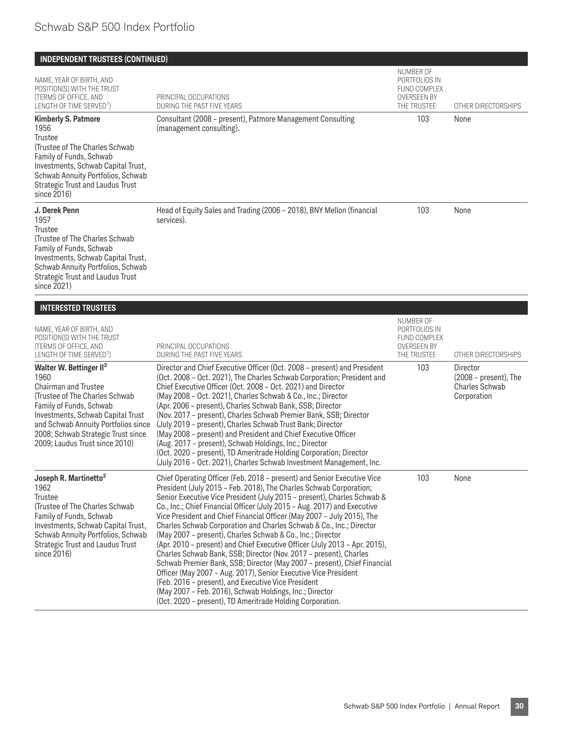#### **INDEPENDENT TRUSTEES (CONTINUED)** NAME, YEAR OF BIRTH, AND POSITION(S) WITH THE TRUST (TERMS OF OFFICE, AND LENGTH OF TIME SERVED<sup>1</sup>) PRINCIPAL OCCUPATIONS DURING THE PAST FIVE YEARS NUMBER OF PORTFOLIOS IN FUND COMPLEX OVERSEEN BY<br>THE TRUSTEE OTHER DIRECTORSHIPS **Kimberly S. Patmore** 1956 **Trustee** (Trustee of The Charles Schwab Family of Funds, Schwab Investments, Schwab Capital Trust, Schwab Annuity Portfolios, Schwab Strategic Trust and Laudus Trust since 2016) Consultant (2008 – present), Patmore Management Consulting (management consulting). 103 None **J. Derek Penn** 1957 **Trustee** (Trustee of The Charles Schwab Family of Funds, Schwab Investments, Schwab Capital Trust, Schwab Annuity Portfolios, Schwab Strategic Trust and Laudus Trust since 2021) Head of Equity Sales and Trading (2006 – 2018), BNY Mellon (financial services). 103 None **INTERESTED TRUSTEES** NAME, YEAR OF BIRTH, AND POSITION(S) WITH THE TRUST (TERMS OF OFFICE, AND LENGTH OF TIME SERVED<sup>1</sup>) PRINCIPAL OCCUPATIONS DURING THE PAST FIVE YEARS NUMBER OF PORTFOLIOS IN FUND COMPLEX OVERSEEN BY<br>THE TRUSTEE OTHER DIRECTORSHIPS **Walter W. Bettinger II2** 1960 Chairman and Trustee (Trustee of The Charles Schwab Family of Funds, Schwab Investments, Schwab Capital Trust and Schwab Annuity Portfolios since 2008; Schwab Strategic Trust since 2009; Laudus Trust since 2010) Director and Chief Executive Officer (Oct. 2008 – present) and President (Oct. 2008 – Oct. 2021), The Charles Schwab Corporation; President and Chief Executive Officer (Oct. 2008 – Oct. 2021) and Director (May 2008 – Oct. 2021), Charles Schwab & Co., Inc.; Director (Apr. 2006 – present), Charles Schwab Bank, SSB; Director (Nov. 2017 – present), Charles Schwab Premier Bank, SSB; Director (July 2019 – present), Charles Schwab Trust Bank; Director (May 2008 – present) and President and Chief Executive Officer (Aug. 2017 – present), Schwab Holdings, Inc.; Director (Oct. 2020 – present), TD Ameritrade Holding Corporation; Director (July 2016 – Oct. 2021), Charles Schwab Investment Management, Inc. 103 Director (2008 – present), The Charles Schwab Corporation **Joseph R. Martinetto2** 1962 **Trustee** (Trustee of The Charles Schwab Family of Funds, Schwab Investments, Schwab Capital Trust, Schwab Annuity Portfolios, Schwab Strategic Trust and Laudus Trust since 2016) Chief Operating Officer (Feb. 2018 – present) and Senior Executive Vice President (July 2015 – Feb. 2018), The Charles Schwab Corporation; Senior Executive Vice President (July 2015 – present), Charles Schwab & Co., Inc.; Chief Financial Officer (July 2015 – Aug. 2017) and Executive Vice President and Chief Financial Officer (May 2007 – July 2015), The Charles Schwab Corporation and Charles Schwab & Co., Inc.; Director (May 2007 – present), Charles Schwab & Co., Inc.; Director (Apr. 2010 – present) and Chief Executive Officer (July 2013 – Apr. 2015), Charles Schwab Bank, SSB; Director (Nov. 2017 – present), Charles Schwab Premier Bank, SSB; Director (May 2007 – present), Chief Financial Officer (May 2007 – Aug. 2017), Senior Executive Vice President (Feb. 2016 – present), and Executive Vice President (May 2007 – Feb. 2016), Schwab Holdings, Inc.; Director (Oct. 2020 – present), TD Ameritrade Holding Corporation. 103 None